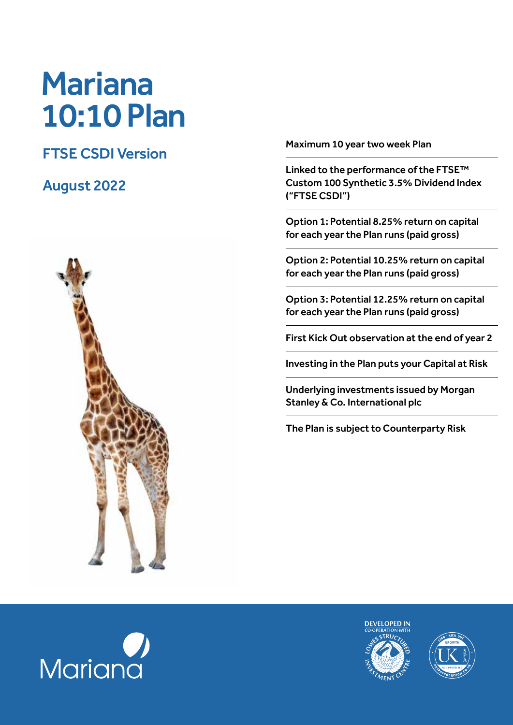# Mariana 10:10 Plan

## FTSE CSDI Version

## August 2022



Maximum 10 year two week Plan

Linked to the performance of the FTSE™ Custom 100 Synthetic 3.5% Dividend Index ("FTSE CSDI")

Option 1: Potential 8.25% return on capital for each year the Plan runs (paid gross)

Option 2: Potential 10.25% return on capital for each year the Plan runs (paid gross)

Option 3: Potential 12.25% return on capital for each year the Plan runs (paid gross)

First Kick Out observation at the end of year 2

Investing in the Plan puts your Capital at Risk

Underlying investments issued by Morgan Stanley & Co. International plc

The Plan is subject to Counterparty Risk





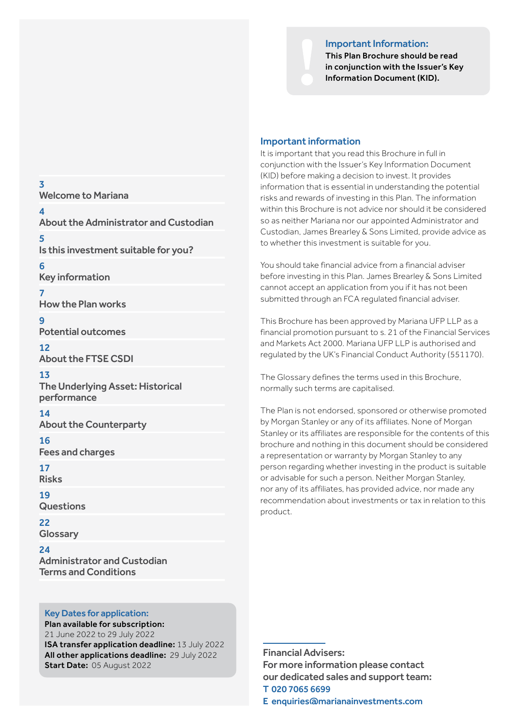#### Important Information:



#### Important information

It is important that you read this Brochure in full in conjunction with the Issuer's Key Information Document (KID) before making a decision to invest. It provides information that is essential in understanding the potential risks and rewards of investing in this Plan. The information within this Brochure is not advice nor should it be considered so as neither Mariana nor our appointed Administrator and Custodian, James Brearley & Sons Limited, provide advice as to whether this investment is suitable for you.

You should take financial advice from a financial adviser before investing in this Plan. James Brearley & Sons Limited cannot accept an application from you if it has not been submitted through an FCA regulated financial adviser.

This Brochure has been approved by Mariana UFP LLP as a financial promotion pursuant to s. 21 of the Financial Services and Markets Act 2000. Mariana UFP LLP is authorised and regulated by the UK's Financial Conduct Authority (551170).

The Glossary defines the terms used in this Brochure, normally such terms are capitalised.

The Plan is not endorsed, sponsored or otherwise promoted by Morgan Stanley or any of its affiliates. None of Morgan Stanley or its affiliates are responsible for the contents of this brochure and nothing in this document should be considered a representation or warranty by Morgan Stanley to any person regarding whether investing in the product is suitable or advisable for such a person. Neither Morgan Stanley, nor any of its affiliates, has provided advice, nor made any recommendation about investments or tax in relation to this product.

## Potential outcomes 12 About the FTSE CSDI 13

Key information

How the Plan works

Welcome to Mariana

About the Administrator and Custodian

Is this investment suitable for you?

The Underlying Asset: Historical performance

## 14

3

4

5

6

7

 $\alpha$ 

About the Counterparty

16

Fees and charges

17 Risks

19

**Questions** 

22 **Glossary** 

 $24$ Administrator and Custodian Terms and Conditions

## Key Dates for application:

Plan available for subscription: 21 June 2022 to 29 July 2022 ISA transfer application deadline: 13 July 2022 All other applications deadline: 29 July 2022 Start Date: 05 August 2022

Financial Advisers: For more information please contact our dedicated sales and support team: T 020 7065 6699

E enquiries@marianainvestments.com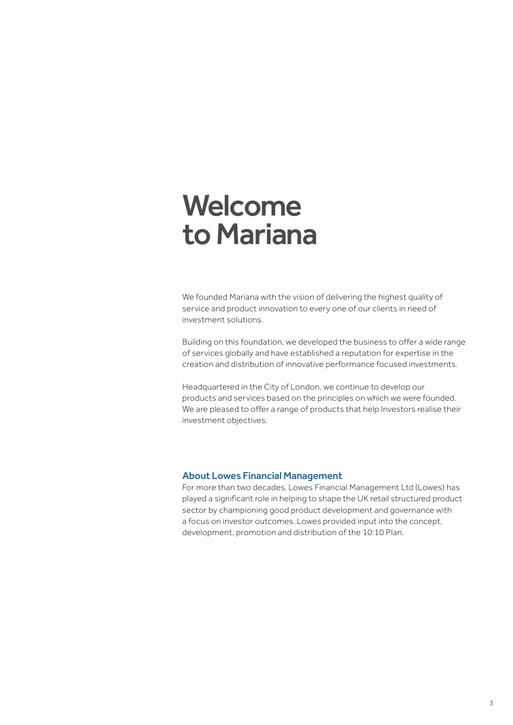## Welcome to Mariana

We founded Mariana with the vision of delivering the highest quality of service and product innovation to every one of our clients in need of investment solutions.

Building on this foundation, we developed the business to offer a wide range of services globally and have established a reputation for expertise in the creation and distribution of innovative performance focused investments.

Headquartered in the City of London, we continue to develop our products and services based on the principles on which we were founded. We are pleased to offer a range of products that help Investors realise their investment objectives.

#### About Lowes Financial Management

For more than two decades, Lowes Financial Management Ltd (Lowes) has played a significant role in helping to shape the UK retail structured product sector by championing good product development and governance with a focus on investor outcomes. Lowes provided input into the concept, development, promotion and distribution of the 10:10 Plan.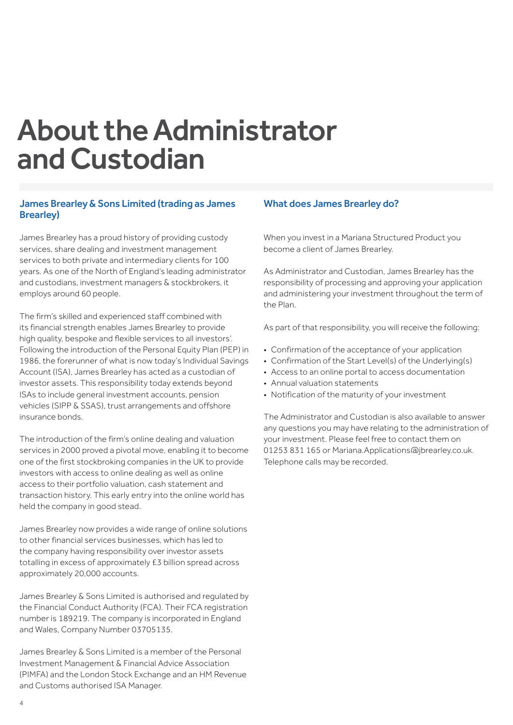## About the Administrator and Custodian

## James Brearley & Sons Limited (trading as James Brearley)

James Brearley has a proud history of providing custody services, share dealing and investment management services to both private and intermediary clients for 100 years. As one of the North of England's leading administrator and custodians, investment managers & stockbrokers, it employs around 60 people.

The firm's skilled and experienced staff combined with its financial strength enables James Brearley to provide high quality, bespoke and flexible services to all investors'. Following the introduction of the Personal Equity Plan (PEP) in 1986, the forerunner of what is now today's Individual Savings Account (ISA), James Brearley has acted as a custodian of investor assets. This responsibility today extends beyond ISAs to include general investment accounts, pension vehicles (SIPP & SSAS), trust arrangements and offshore insurance bonds.

The introduction of the firm's online dealing and valuation services in 2000 proved a pivotal move, enabling it to become one of the first stockbroking companies in the UK to provide investors with access to online dealing as well as online access to their portfolio valuation, cash statement and transaction history. This early entry into the online world has held the company in good stead.

James Brearley now provides a wide range of online solutions to other financial services businesses, which has led to the company having responsibility over investor assets totalling in excess of approximately £3 billion spread across approximately 20,000 accounts.

James Brearley & Sons Limited is authorised and regulated by the Financial Conduct Authority (FCA). Their FCA registration number is 189219. The company is incorporated in England and Wales, Company Number 03705135.

James Brearley & Sons Limited is a member of the Personal Investment Management & Financial Advice Association (PIMFA) and the London Stock Exchange and an HM Revenue and Customs authorised ISA Manager.

## What does James Brearley do?

When you invest in a Mariana Structured Product you become a client of James Brearley.

As Administrator and Custodian, James Brearley has the responsibility of processing and approving your application and administering your investment throughout the term of the Plan.

As part of that responsibility, you will receive the following:

- Confirmation of the acceptance of your application
- Confirmation of the Start Level(s) of the Underlying(s)
- Access to an online portal to access documentation
- Annual valuation statements
- Notification of the maturity of your investment

The Administrator and Custodian is also available to answer any questions you may have relating to the administration of your investment. Please feel free to contact them on 01253 831 165 or Mariana.Applications@jbrearley.co.uk. Telephone calls may be recorded.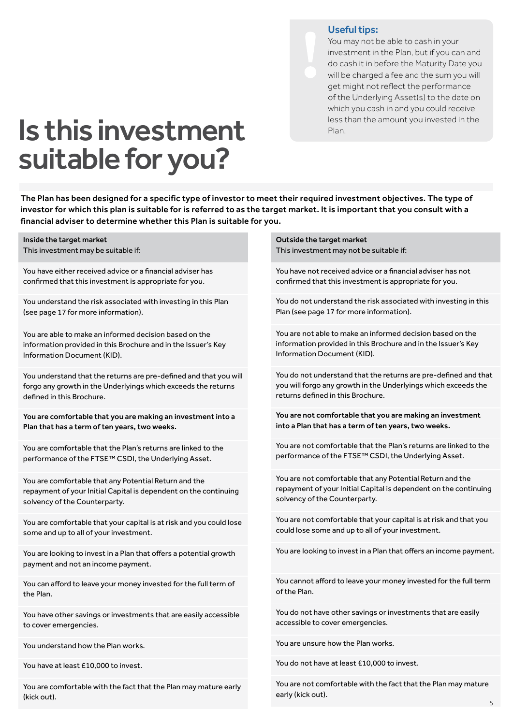## Useful tips:

You may not be able to cash in your investment in the Plan, but if you can and do cash it in before the Maturity Date you will be charged a fee and the sum you will get might not reflect the performance of the Underlying Asset(s) to the date on which you cash in and you could receive less than the amount you invested in the Plan.

## Is this investment suitable for you?

The Plan has been designed for a specific type of investor to meet their required investment objectives. The type of investor for which this plan is suitable for is referred to as the target market. It is important that you consult with a financial adviser to determine whether this Plan is suitable for you.

Inside the target market This investment may be suitable if:

You have either received advice or a financial adviser has confirmed that this investment is appropriate for you.

You understand the risk associated with investing in this Plan (see page 17 for more information).

You are able to make an informed decision based on the information provided in this Brochure and in the Issuer's Key Information Document (KID).

You understand that the returns are pre-defined and that you will forgo any growth in the Underlyings which exceeds the returns defined in this Brochure.

You are comfortable that you are making an investment into a Plan that has a term of ten years, two weeks.

You are comfortable that the Plan's returns are linked to the performance of the FTSE™ CSDI, the Underlying Asset.

You are comfortable that any Potential Return and the repayment of your Initial Capital is dependent on the continuing solvency of the Counterparty.

You are comfortable that your capital is at risk and you could lose some and up to all of your investment.

You are looking to invest in a Plan that offers a potential growth payment and not an income payment.

You can afford to leave your money invested for the full term of the Plan.

You have other savings or investments that are easily accessible to cover emergencies.

You understand how the Plan works.

You have at least £10,000 to invest.

You are comfortable with the fact that the Plan may mature early (kick out).

Outside the target market This investment may not be suitable if:

You have not received advice or a financial adviser has not confirmed that this investment is appropriate for you.

You do not understand the risk associated with investing in this Plan (see page 17 for more information).

You are not able to make an informed decision based on the information provided in this Brochure and in the Issuer's Key Information Document (KID).

You do not understand that the returns are pre-defined and that you will forgo any growth in the Underlyings which exceeds the returns defined in this Brochure.

You are not comfortable that you are making an investment into a Plan that has a term of ten years, two weeks.

You are not comfortable that the Plan's returns are linked to the performance of the FTSE™ CSDI, the Underlying Asset.

You are not comfortable that any Potential Return and the repayment of your Initial Capital is dependent on the continuing solvency of the Counterparty.

You are not comfortable that your capital is at risk and that you could lose some and up to all of your investment.

You are looking to invest in a Plan that offers an income payment.

You cannot afford to leave your money invested for the full term of the Plan.

You do not have other savings or investments that are easily accessible to cover emergencies.

You are unsure how the Plan works.

You do not have at least £10,000 to invest.

You are not comfortable with the fact that the Plan may mature early (kick out).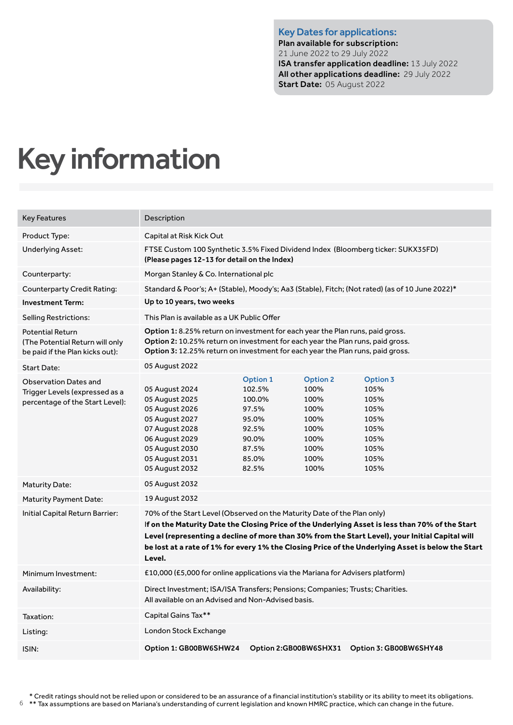Key Dates for applications: Plan available for subscription: 21 June 2022 to 29 July 2022 ISA transfer application deadline: 13 July 2022 All other applications deadline: 29 July 2022 Start Date: 05 August 2022

## Key information

| <b>Key Features</b>                                                                               | Description                                                                                                                                                                                                                                                                                                                                                                                  |                                                                                                    |                                                                                         |                                                                                                 |
|---------------------------------------------------------------------------------------------------|----------------------------------------------------------------------------------------------------------------------------------------------------------------------------------------------------------------------------------------------------------------------------------------------------------------------------------------------------------------------------------------------|----------------------------------------------------------------------------------------------------|-----------------------------------------------------------------------------------------|-------------------------------------------------------------------------------------------------|
| Product Type:                                                                                     | Capital at Risk Kick Out                                                                                                                                                                                                                                                                                                                                                                     |                                                                                                    |                                                                                         |                                                                                                 |
| Underlying Asset:                                                                                 | FTSE Custom 100 Synthetic 3.5% Fixed Dividend Index (Bloomberg ticker: SUKX35FD)<br>(Please pages 12-13 for detail on the Index)                                                                                                                                                                                                                                                             |                                                                                                    |                                                                                         |                                                                                                 |
| Counterparty:                                                                                     | Morgan Stanley & Co. International plc                                                                                                                                                                                                                                                                                                                                                       |                                                                                                    |                                                                                         |                                                                                                 |
| <b>Counterparty Credit Rating:</b>                                                                |                                                                                                                                                                                                                                                                                                                                                                                              |                                                                                                    |                                                                                         | Standard & Poor's; A+ (Stable), Moody's; Aa3 (Stable), Fitch; (Not rated) (as of 10 June 2022)* |
| <b>Investment Term:</b>                                                                           | Up to 10 years, two weeks                                                                                                                                                                                                                                                                                                                                                                    |                                                                                                    |                                                                                         |                                                                                                 |
| <b>Selling Restrictions:</b>                                                                      | This Plan is available as a UK Public Offer                                                                                                                                                                                                                                                                                                                                                  |                                                                                                    |                                                                                         |                                                                                                 |
| <b>Potential Return</b><br>(The Potential Return will only<br>be paid if the Plan kicks out):     | Option 1: 8.25% return on investment for each year the Plan runs, paid gross.<br>Option 2: 10.25% return on investment for each year the Plan runs, paid gross.<br>Option 3: 12.25% return on investment for each year the Plan runs, paid gross.                                                                                                                                            |                                                                                                    |                                                                                         |                                                                                                 |
| Start Date:                                                                                       | 05 August 2022                                                                                                                                                                                                                                                                                                                                                                               |                                                                                                    |                                                                                         |                                                                                                 |
| <b>Observation Dates and</b><br>Trigger Levels (expressed as a<br>percentage of the Start Level): | 05 August 2024<br>05 August 2025<br>05 August 2026<br>05 August 2027<br>07 August 2028<br>06 August 2029<br>05 August 2030<br>05 August 2031<br>05 August 2032                                                                                                                                                                                                                               | <b>Option 1</b><br>102.5%<br>100.0%<br>97.5%<br>95.0%<br>92.5%<br>90.0%<br>87.5%<br>85.0%<br>82.5% | <b>Option 2</b><br>100%<br>100%<br>100%<br>100%<br>100%<br>100%<br>100%<br>100%<br>100% | <b>Option 3</b><br>105%<br>105%<br>105%<br>105%<br>105%<br>105%<br>105%<br>105%<br>105%         |
| <b>Maturity Date:</b>                                                                             | 05 August 2032                                                                                                                                                                                                                                                                                                                                                                               |                                                                                                    |                                                                                         |                                                                                                 |
| <b>Maturity Payment Date:</b>                                                                     | 19 August 2032                                                                                                                                                                                                                                                                                                                                                                               |                                                                                                    |                                                                                         |                                                                                                 |
| Initial Capital Return Barrier:                                                                   | 70% of the Start Level (Observed on the Maturity Date of the Plan only)<br>If on the Maturity Date the Closing Price of the Underlying Asset is less than 70% of the Start<br>Level (representing a decline of more than 30% from the Start Level), your Initial Capital will<br>be lost at a rate of 1% for every 1% the Closing Price of the Underlying Asset is below the Start<br>Level. |                                                                                                    |                                                                                         |                                                                                                 |
| Minimum Investment:                                                                               | £10,000 (£5,000 for online applications via the Mariana for Advisers platform)                                                                                                                                                                                                                                                                                                               |                                                                                                    |                                                                                         |                                                                                                 |
| Availability:                                                                                     | Direct Investment; ISA/ISA Transfers; Pensions; Companies; Trusts; Charities.<br>All available on an Advised and Non-Advised basis.                                                                                                                                                                                                                                                          |                                                                                                    |                                                                                         |                                                                                                 |
| Taxation:                                                                                         | Capital Gains Tax**                                                                                                                                                                                                                                                                                                                                                                          |                                                                                                    |                                                                                         |                                                                                                 |
| Listing:                                                                                          | London Stock Exchange                                                                                                                                                                                                                                                                                                                                                                        |                                                                                                    |                                                                                         |                                                                                                 |
| ISIN:                                                                                             | Option 1: GB00BW6SHW24                                                                                                                                                                                                                                                                                                                                                                       | Option 2:GB00BW6SHX31                                                                              |                                                                                         | Option 3: GB00BW6SHY48                                                                          |

\* Credit ratings should not be relied upon or considered to be an assurance of a financial institution's stability or its ability to meet its obligations.

 $^{\circ}$  \*\* Tax assumptions are based on Mariana's understanding of current legislation and known HMRC practice, which can change in the future.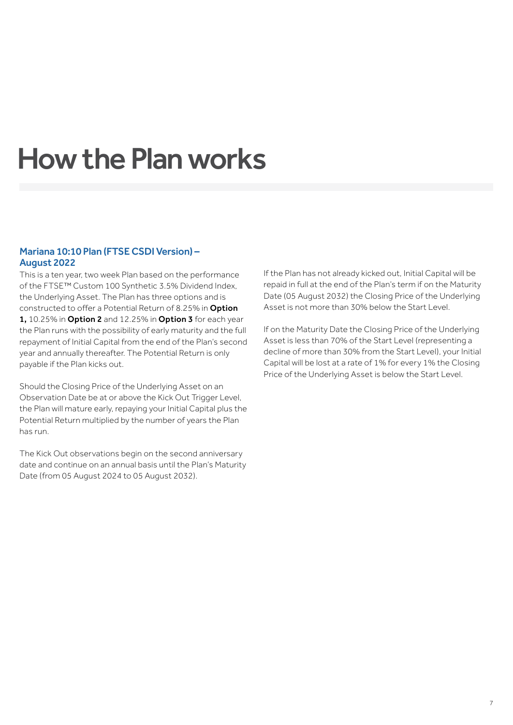## How the Plan works

## Mariana 10:10 Plan (FTSE CSDI Version) – August 2022

This is a ten year, two week Plan based on the performance of the FTSE™ Custom 100 Synthetic 3.5% Dividend Index, the Underlying Asset. The Plan has three options and is constructed to offer a Potential Return of 8.25% in Option 1, 10.25% in Option 2 and 12.25% in Option 3 for each year the Plan runs with the possibility of early maturity and the full repayment of Initial Capital from the end of the Plan's second year and annually thereafter. The Potential Return is only payable if the Plan kicks out.

Should the Closing Price of the Underlying Asset on an Observation Date be at or above the Kick Out Trigger Level, the Plan will mature early, repaying your Initial Capital plus the Potential Return multiplied by the number of years the Plan has run.

The Kick Out observations begin on the second anniversary date and continue on an annual basis until the Plan's Maturity Date (from 05 August 2024 to 05 August 2032).

If the Plan has not already kicked out, Initial Capital will be repaid in full at the end of the Plan's term if on the Maturity Date (05 August 2032) the Closing Price of the Underlying Asset is not more than 30% below the Start Level.

If on the Maturity Date the Closing Price of the Underlying Asset is less than 70% of the Start Level (representing a decline of more than 30% from the Start Level), your Initial Capital will be lost at a rate of 1% for every 1% the Closing Price of the Underlying Asset is below the Start Level.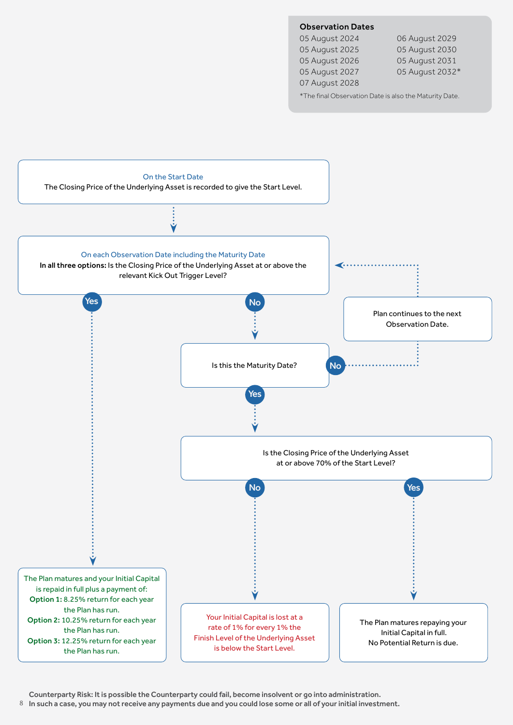## Observation Dates

05 August 2024 06 August 2029 05 August 2025 05 August 2030 05 August 2026 05 August 2031 07 August 2028

05 August 2027 05 August 2032\*

\*The final Observation Date is also the Maturity Date.



Counterparty Risk: It is possible the Counterparty could fail, become insolvent or go into administration.

 $^8$   $\,$  In such a case, you may not receive any payments due and you could lose some or all of your initial investment.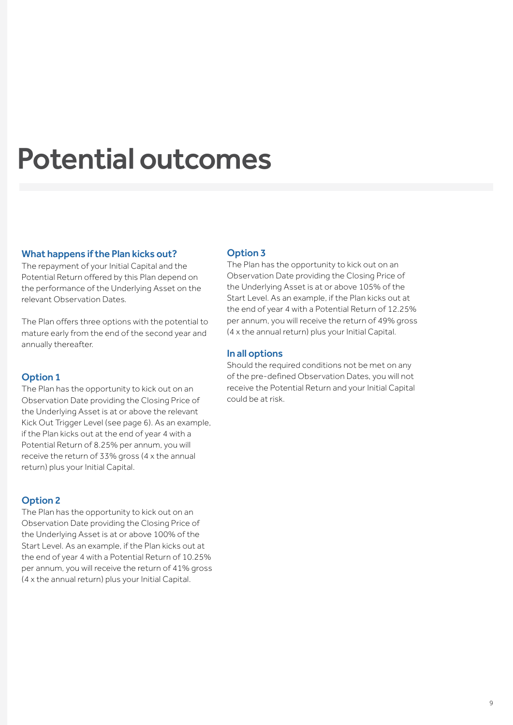## Potential outcomes

## What happens if the Plan kicks out?

The repayment of your Initial Capital and the Potential Return offered by this Plan depend on the performance of the Underlying Asset on the relevant Observation Dates.

The Plan offers three options with the potential to mature early from the end of the second year and annually thereafter.

## Option 1

The Plan has the opportunity to kick out on an Observation Date providing the Closing Price of the Underlying Asset is at or above the relevant Kick Out Trigger Level (see page 6). As an example, if the Plan kicks out at the end of year 4 with a Potential Return of 8.25% per annum, you will receive the return of 33% gross (4 x the annual return) plus your Initial Capital.

## Option 2

The Plan has the opportunity to kick out on an Observation Date providing the Closing Price of the Underlying Asset is at or above 100% of the Start Level. As an example, if the Plan kicks out at the end of year 4 with a Potential Return of 10.25% per annum, you will receive the return of 41% gross (4 x the annual return) plus your Initial Capital.

## Option 3

The Plan has the opportunity to kick out on an Observation Date providing the Closing Price of the Underlying Asset is at or above 105% of the Start Level. As an example, if the Plan kicks out at the end of year 4 with a Potential Return of 12.25% per annum, you will receive the return of 49% gross (4 x the annual return) plus your Initial Capital.

## In all options

Should the required conditions not be met on any of the pre-defined Observation Dates, you will not receive the Potential Return and your Initial Capital could be at risk.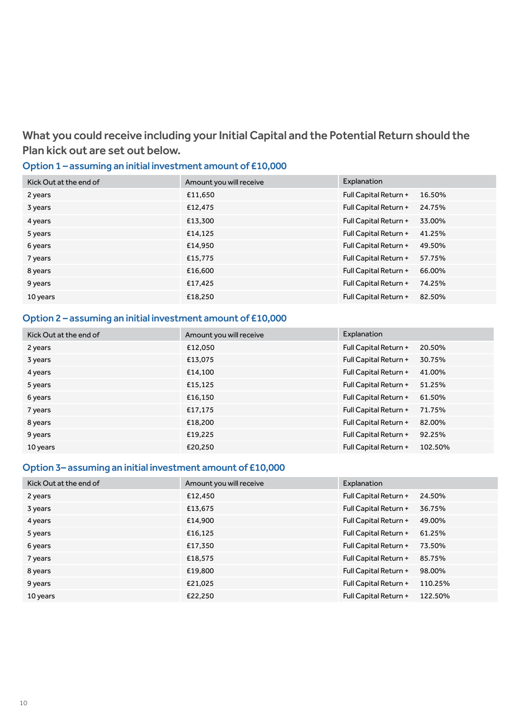What you could receive including your Initial Capital and the Potential Return should the Plan kick out are set out below.

## Option 1 – assuming an initial investment amount of £10,000

| Kick Out at the end of | Amount you will receive | Explanation                     |
|------------------------|-------------------------|---------------------------------|
| 2 years                | £11,650                 | Full Capital Return +<br>16.50% |
| 3 years                | £12,475                 | Full Capital Return +<br>24.75% |
| 4 years                | £13,300                 | Full Capital Return +<br>33.00% |
| 5 years                | £14,125                 | Full Capital Return +<br>41.25% |
| 6 years                | £14.950                 | Full Capital Return +<br>49.50% |
| 7 years                | £15,775                 | Full Capital Return +<br>57.75% |
| 8 years                | £16,600                 | Full Capital Return +<br>66.00% |
| 9 years                | £17,425                 | Full Capital Return +<br>74.25% |
| 10 years               | £18,250                 | Full Capital Return +<br>82.50% |

## Option 2 – assuming an initial investment amount of £10,000

| Kick Out at the end of | Amount you will receive | Explanation                      |
|------------------------|-------------------------|----------------------------------|
| 2 years                | £12,050                 | Full Capital Return +<br>20.50%  |
| 3 years                | £13,075                 | Full Capital Return +<br>30.75%  |
| 4 years                | £14,100                 | Full Capital Return +<br>41.00%  |
| 5 years                | £15,125                 | Full Capital Return +<br>51.25%  |
| 6 years                | £16,150                 | Full Capital Return +<br>61.50%  |
| 7 years                | £17,175                 | Full Capital Return +<br>71.75%  |
| 8 years                | £18,200                 | Full Capital Return +<br>82.00%  |
| 9 years                | £19,225                 | Full Capital Return +<br>92.25%  |
| 10 years               | £20,250                 | Full Capital Return +<br>102.50% |

## Option 3– assuming an initial investment amount of £10,000

| Kick Out at the end of | Amount you will receive | Explanation                      |
|------------------------|-------------------------|----------------------------------|
| 2 years                | £12,450                 | Full Capital Return +<br>24.50%  |
| 3 years                | £13,675                 | Full Capital Return +<br>36.75%  |
| 4 years                | £14,900                 | Full Capital Return +<br>49.00%  |
| 5 years                | £16,125                 | Full Capital Return +<br>61.25%  |
| 6 years                | £17,350                 | Full Capital Return +<br>73.50%  |
| 7 years                | £18,575                 | Full Capital Return +<br>85.75%  |
| 8 years                | £19,800                 | Full Capital Return +<br>98.00%  |
| 9 years                | £21,025                 | Full Capital Return +<br>110.25% |
| 10 years               | £22,250                 | Full Capital Return +<br>122.50% |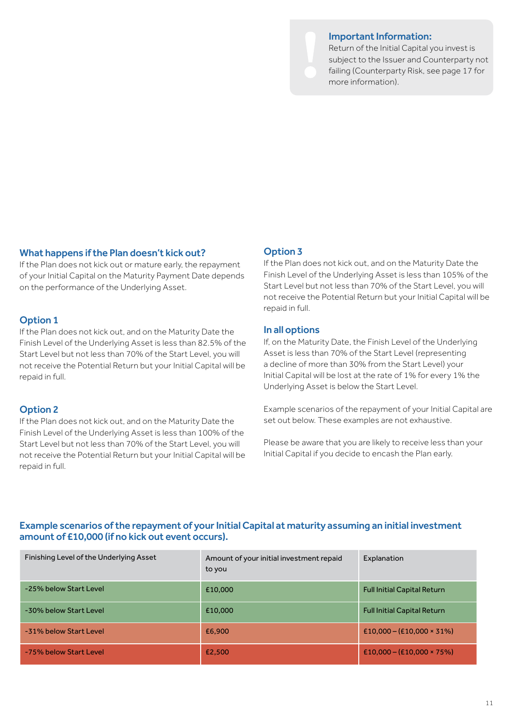#### Important Information:

Return of the Initial Capital you invest is subject to the Issuer and Counterparty not failing (Counterparty Risk, see page 17 for more information).

## What happens if the Plan doesn't kick out?

If the Plan does not kick out or mature early, the repayment of your Initial Capital on the Maturity Payment Date depends on the performance of the Underlying Asset.

### Option 1

If the Plan does not kick out, and on the Maturity Date the Finish Level of the Underlying Asset is less than 82.5% of the Start Level but not less than 70% of the Start Level, you will not receive the Potential Return but your Initial Capital will be repaid in full.

## Option 2

If the Plan does not kick out, and on the Maturity Date the Finish Level of the Underlying Asset is less than 100% of the Start Level but not less than 70% of the Start Level, you will not receive the Potential Return but your Initial Capital will be repaid in full.

## Option 3

If the Plan does not kick out, and on the Maturity Date the Finish Level of the Underlying Asset is less than 105% of the Start Level but not less than 70% of the Start Level, you will not receive the Potential Return but your Initial Capital will be repaid in full.

### In all options

If, on the Maturity Date, the Finish Level of the Underlying Asset is less than 70% of the Start Level (representing a decline of more than 30% from the Start Level) your Initial Capital will be lost at the rate of 1% for every 1% the Underlying Asset is below the Start Level.

Example scenarios of the repayment of your Initial Capital are set out below. These examples are not exhaustive.

Please be aware that you are likely to receive less than your Initial Capital if you decide to encash the Plan early.

## Example scenarios of the repayment of your Initial Capital at maturity assuming an initial investment amount of £10,000 (if no kick out event occurs).

| Finishing Level of the Underlying Asset | Amount of your initial investment repaid<br>to you | Explanation                        |
|-----------------------------------------|----------------------------------------------------|------------------------------------|
| -25% below Start Level                  | £10,000                                            | <b>Full Initial Capital Return</b> |
| -30% below Start Level                  | £10,000                                            | <b>Full Initial Capital Return</b> |
| -31% below Start Level                  | £6,900                                             | $£10,000 - (£10,000 \times 31\%)$  |
| -75% below Start Level                  | £2,500                                             | $£10,000 - (£10,000 * 75%)$        |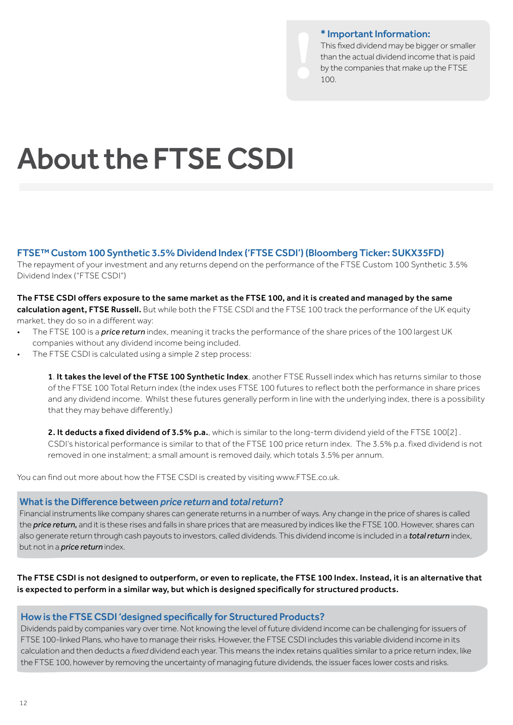### \* Important Information:

This fixed dividend may be bigger or smaller than the actual dividend income that is paid by the companies that make up the FTSE 100.

# About the FTSE CSDI

## FTSE™ Custom 100 Synthetic 3.5% Dividend Index ('FTSE CSDI') (Bloomberg Ticker: SUKX35FD)

The repayment of your investment and any returns depend on the performance of the FTSE Custom 100 Synthetic 3.5% Dividend Index ("FTSE CSDI")

## The FTSE CSDI offers exposure to the same market as the FTSE 100, and it is created and managed by the same calculation agent, FTSE Russell. But while both the FTSE CSDI and the FTSE 100 track the performance of the UK equity market, they do so in a different way:

- The FTSE 100 is a *price return* index, meaning it tracks the performance of the share prices of the 100 largest UK companies without any dividend income being included.
- The FTSE CSDI is calculated using a simple 2 step process:

1. It takes the level of the FTSE 100 Synthetic Index, another FTSE Russell index which has returns similar to those of the FTSE 100 Total Return index (the index uses FTSE 100 futures to reflect both the performance in share prices and any dividend income. Whilst these futures generally perform in line with the underlying index, there is a possibility that they may behave differently.)

2. It deducts a fixed dividend of 3.5% p.a., which is similar to the long-term dividend yield of the FTSE 100[2]. CSDI's historical performance is similar to that of the FTSE 100 price return index. The 3.5% p.a. fixed dividend is not removed in one instalment; a small amount is removed daily, which totals 3.5% per annum.

You can find out more about how the FTSE CSDI is created by visiting www.FTSE.co.uk.

#### What is the Difference between *price return* and *total return*?

Financial instruments like company shares can generate returns in a number of ways. Any change in the price of shares is called the *price return,* and it is these rises and falls in share prices that are measured by indices like the FTSE 100. However, shares can also generate return through cash payouts to investors, called dividends. This dividend income is included in a *total return* index, but not in a *price return* index.

The FTSE CSDI is not designed to outperform, or even to replicate, the FTSE 100 Index. Instead, it is an alternative that is expected to perform in a similar way, but which is designed specifically for structured products.

## How is the FTSE CSDI 'designed specifically for Structured Products?

Dividends paid by companies vary over time. Not knowing the level of future dividend income can be challenging for issuers of FTSE 100-linked Plans, who have to manage their risks. However, the FTSE CSDI includes this variable dividend income in its calculation and then deducts a *fixed* dividend each year. This means the index retains qualities similar to a price return index, like the FTSE 100, however by removing the uncertainty of managing future dividends, the issuer faces lower costs and risks.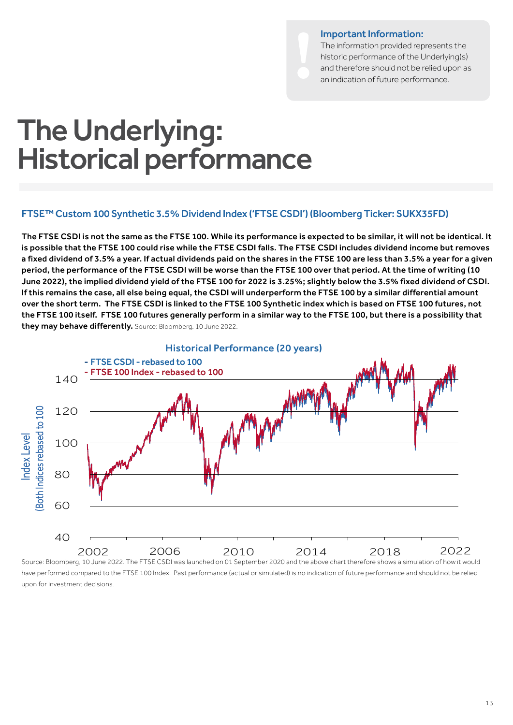### Important Information:

The information provided represents the historic performance of the Underlying(s) and therefore should not be relied upon as an indication of future performance.

## The Underlying: Historical performance

## FTSE™ Custom 100 Synthetic 3.5% Dividend Index ('FTSE CSDI') (Bloomberg Ticker: SUKX35FD)

The FTSE CSDI is not the same as the FTSE 100. While its performance is expected to be similar, it will not be identical. It is possible that the FTSE 100 could rise while the FTSE CSDI falls. The FTSE CSDI includes dividend income but removes a fixed dividend of 3.5% a year. If actual dividends paid on the shares in the FTSE 100 are less than 3.5% a year for a given period, the performance of the FTSE CSDI will be worse than the FTSE 100 over that period. At the time of writing (10 June 2022), the implied dividend yield of the FTSE 100 for 2022 is 3.25%; slightly below the 3.5% fixed dividend of CSDI. If this remains the case, all else being equal, the CSDI will underperform the FTSE 100 by a similar differential amount over the short term. The FTSE CSDI is linked to the FTSE 100 Synthetic index which is based on FTSE 100 futures, not the FTSE 100 itself. FTSE 100 futures generally perform in a similar way to the FTSE 100, but there is a possibility that they may behave differently. Source: Bloomberg, 10 June 2022.



have performed compared to the FTSE 100 Index. Past performance (actual or simulated) is no indication of future performance and should not be relied upon for investment decisions.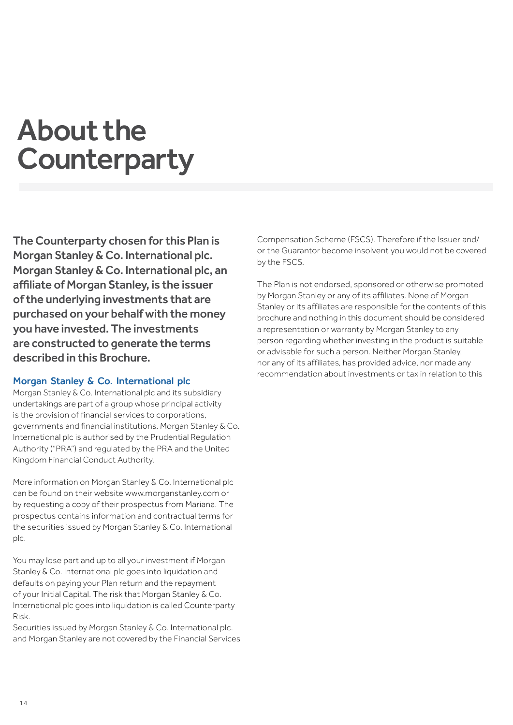## About the **Counterparty**

The Counterparty chosen for this Plan is Morgan Stanley & Co. International plc. Morgan Stanley & Co. International plc, an affiliate of Morgan Stanley, is the issuer of the underlying investments that are purchased on your behalf with the money you have invested. The investments are constructed to generate the terms described in this Brochure.

## Morgan Stanley & Co. International plc

Morgan Stanley & Co. International plc and its subsidiary undertakings are part of a group whose principal activity is the provision of financial services to corporations, governments and financial institutions. Morgan Stanley & Co. International plc is authorised by the Prudential Regulation Authority ("PRA") and regulated by the PRA and the United Kingdom Financial Conduct Authority.

More information on Morgan Stanley & Co. International plc can be found on their website www.morganstanley.com or by requesting a copy of their prospectus from Mariana. The prospectus contains information and contractual terms for the securities issued by Morgan Stanley & Co. International plc.

You may lose part and up to all your investment if Morgan Stanley & Co. International plc goes into liquidation and defaults on paying your Plan return and the repayment of your Initial Capital. The risk that Morgan Stanley & Co. International plc goes into liquidation is called Counterparty Risk.

Securities issued by Morgan Stanley & Co. International plc. and Morgan Stanley are not covered by the Financial Services Compensation Scheme (FSCS). Therefore if the Issuer and/ or the Guarantor become insolvent you would not be covered by the FSCS.

The Plan is not endorsed, sponsored or otherwise promoted by Morgan Stanley or any of its affiliates. None of Morgan Stanley or its affiliates are responsible for the contents of this brochure and nothing in this document should be considered a representation or warranty by Morgan Stanley to any person regarding whether investing in the product is suitable or advisable for such a person. Neither Morgan Stanley, nor any of its affiliates, has provided advice, nor made any recommendation about investments or tax in relation to this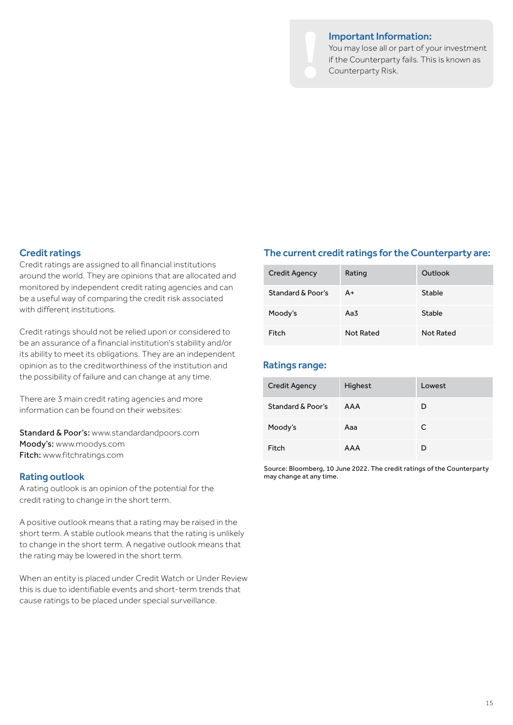#### Important Information:

You may lose all or part of your investment if the Counterparty fails. This is known as Counterparty Risk.

## Credit ratings

Credit ratings are assigned to all financial institutions around the world. They are opinions that are allocated and monitored by independent credit rating agencies and can be a useful way of comparing the credit risk associated with different institutions.

Credit ratings should not be relied upon or considered to be an assurance of a financial institution's stability and/or its ability to meet its obligations. They are an independent opinion as to the creditworthiness of the institution and the possibility of failure and can change at any time.

There are 3 main credit rating agencies and more information can be found on their websites:

Standard & Poor's: www.standardandpoors.com Moody's: www.moodys.com Fitch: www.fitchratings.com

### Rating outlook

A rating outlook is an opinion of the potential for the credit rating to change in the short term.

A positive outlook means that a rating may be raised in the short term. A stable outlook means that the rating is unlikely to change in the short term. A negative outlook means that the rating may be lowered in the short term.

When an entity is placed under Credit Watch or Under Review this is due to identifiable events and short-term trends that cause ratings to be placed under special surveillance.

### The current credit ratings for the Counterparty are:

| Credit Agency     | Rating    | Outlook   |
|-------------------|-----------|-----------|
| Standard & Poor's | A+        | Stable    |
| Moody's           | Aa3       | Stable    |
| Fitch             | Not Rated | Not Rated |

## Ratings range:

| Credit Agency     | Highest | Lowest |
|-------------------|---------|--------|
| Standard & Poor's | AAA     | D      |
| Moody's           | Aaa     | C      |
| Fitch             | AAA     | D      |

Source: Bloomberg, 10 June 2022. The credit ratings of the Counterparty may change at any time.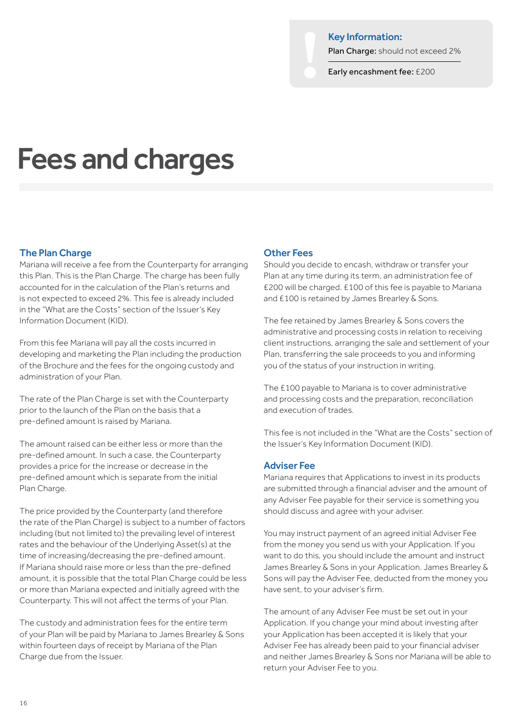#### Key Information:

Plan Charge: should not exceed 2%

Early encashment fee: £200

## Fees and charges

## The Plan Charge

Mariana will receive a fee from the Counterparty for arranging this Plan. This is the Plan Charge. The charge has been fully accounted for in the calculation of the Plan's returns and is not expected to exceed 2%. This fee is already included in the "What are the Costs" section of the Issuer's Key Information Document (KID).

From this fee Mariana will pay all the costs incurred in developing and marketing the Plan including the production of the Brochure and the fees for the ongoing custody and administration of your Plan.

The rate of the Plan Charge is set with the Counterparty prior to the launch of the Plan on the basis that a pre-defined amount is raised by Mariana.

The amount raised can be either less or more than the pre-defined amount. In such a case, the Counterparty provides a price for the increase or decrease in the pre-defined amount which is separate from the initial Plan Charge.

The price provided by the Counterparty (and therefore the rate of the Plan Charge) is subject to a number of factors including (but not limited to) the prevailing level of interest rates and the behaviour of the Underlying Asset(s) at the time of increasing/decreasing the pre-defined amount. If Mariana should raise more or less than the pre-defined amount, it is possible that the total Plan Charge could be less or more than Mariana expected and initially agreed with the Counterparty. This will not affect the terms of your Plan.

The custody and administration fees for the entire term of your Plan will be paid by Mariana to James Brearley & Sons within fourteen days of receipt by Mariana of the Plan Charge due from the Issuer.

### Other Fees

Should you decide to encash, withdraw or transfer your Plan at any time during its term, an administration fee of £200 will be charged. £100 of this fee is payable to Mariana and £100 is retained by James Brearley & Sons.

The fee retained by James Brearley & Sons covers the administrative and processing costs in relation to receiving client instructions, arranging the sale and settlement of your Plan, transferring the sale proceeds to you and informing you of the status of your instruction in writing.

The £100 payable to Mariana is to cover administrative and processing costs and the preparation, reconciliation and execution of trades.

This fee is not included in the "What are the Costs" section of the Issuer's Key Information Document (KID).

#### Adviser Fee

Mariana requires that Applications to invest in its products are submitted through a financial adviser and the amount of any Adviser Fee payable for their service is something you should discuss and agree with your adviser.

You may instruct payment of an agreed initial Adviser Fee from the money you send us with your Application. If you want to do this, you should include the amount and instruct James Brearley & Sons in your Application. James Brearley & Sons will pay the Adviser Fee, deducted from the money you have sent, to your adviser's firm.

The amount of any Adviser Fee must be set out in your Application. If you change your mind about investing after your Application has been accepted it is likely that your Adviser Fee has already been paid to your financial adviser and neither James Brearley & Sons nor Mariana will be able to return your Adviser Fee to you.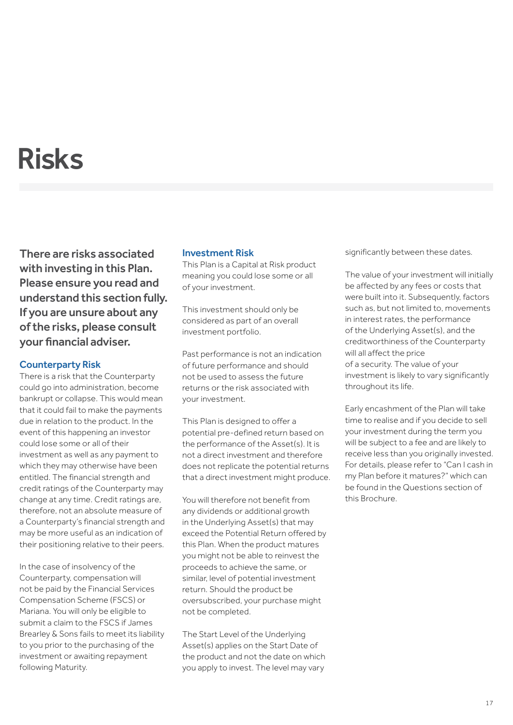## Risks

There are risks associated with investing in this Plan. Please ensure you read and understand this section fully. If you are unsure about any of the risks, please consult your financial adviser.

## Counterparty Risk

There is a risk that the Counterparty could go into administration, become bankrupt or collapse. This would mean that it could fail to make the payments due in relation to the product. In the event of this happening an investor could lose some or all of their investment as well as any payment to which they may otherwise have been entitled. The financial strength and credit ratings of the Counterparty may change at any time. Credit ratings are, therefore, not an absolute measure of a Counterparty's financial strength and may be more useful as an indication of their positioning relative to their peers.

In the case of insolvency of the Counterparty, compensation will not be paid by the Financial Services Compensation Scheme (FSCS) or Mariana. You will only be eligible to submit a claim to the FSCS if James Brearley & Sons fails to meet its liability to you prior to the purchasing of the investment or awaiting repayment following Maturity.

## Investment Risk

This Plan is a Capital at Risk product meaning you could lose some or all of your investment.

This investment should only be considered as part of an overall investment portfolio.

Past performance is not an indication of future performance and should not be used to assess the future returns or the risk associated with your investment.

This Plan is designed to offer a potential pre-defined return based on the performance of the Asset(s). It is not a direct investment and therefore does not replicate the potential returns that a direct investment might produce.

You will therefore not benefit from any dividends or additional growth in the Underlying Asset(s) that may exceed the Potential Return offered by this Plan. When the product matures you might not be able to reinvest the proceeds to achieve the same, or similar, level of potential investment return. Should the product be oversubscribed, your purchase might not be completed.

The Start Level of the Underlying Asset(s) applies on the Start Date of the product and not the date on which you apply to invest. The level may vary

significantly between these dates.

The value of your investment will initially be affected by any fees or costs that were built into it. Subsequently, factors such as, but not limited to, movements in interest rates, the performance of the Underlying Asset(s), and the creditworthiness of the Counterparty will all affect the price of a security. The value of your investment is likely to vary significantly throughout its life.

Early encashment of the Plan will take time to realise and if you decide to sell your investment during the term you will be subject to a fee and are likely to receive less than you originally invested. For details, please refer to "Can I cash in my Plan before it matures?" which can be found in the Questions section of this Brochure.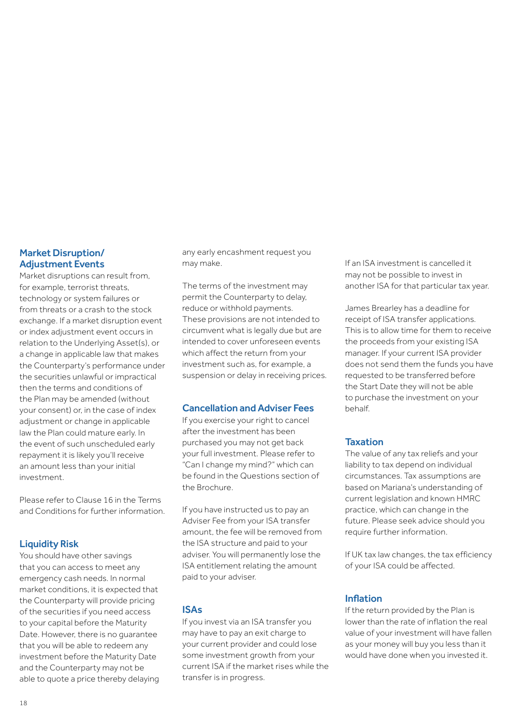## Market Disruption/ Adjustment Events

Market disruptions can result from, for example, terrorist threats, technology or system failures or from threats or a crash to the stock exchange. If a market disruption event or index adjustment event occurs in relation to the Underlying Asset(s), or a change in applicable law that makes the Counterparty's performance under the securities unlawful or impractical then the terms and conditions of the Plan may be amended (without your consent) or, in the case of index adjustment or change in applicable law the Plan could mature early. In the event of such unscheduled early repayment it is likely you'll receive an amount less than your initial investment.

Please refer to Clause 16 in the Terms and Conditions for further information.

## Liquidity Risk

You should have other savings that you can access to meet any emergency cash needs. In normal market conditions, it is expected that the Counterparty will provide pricing of the securities if you need access to your capital before the Maturity Date. However, there is no guarantee that you will be able to redeem any investment before the Maturity Date and the Counterparty may not be able to quote a price thereby delaying any early encashment request you may make.

The terms of the investment may permit the Counterparty to delay, reduce or withhold payments. These provisions are not intended to circumvent what is legally due but are intended to cover unforeseen events which affect the return from your investment such as, for example, a suspension or delay in receiving prices.

## Cancellation and Adviser Fees

If you exercise your right to cancel after the investment has been purchased you may not get back your full investment. Please refer to "Can I change my mind?" which can be found in the Questions section of the Brochure.

If you have instructed us to pay an Adviser Fee from your ISA transfer amount, the fee will be removed from the ISA structure and paid to your adviser. You will permanently lose the ISA entitlement relating the amount paid to your adviser.

## ISAs

If you invest via an ISA transfer you may have to pay an exit charge to your current provider and could lose some investment growth from your current ISA if the market rises while the transfer is in progress.

If an ISA investment is cancelled it may not be possible to invest in another ISA for that particular tax year.

James Brearley has a deadline for receipt of ISA transfer applications. This is to allow time for them to receive the proceeds from your existing ISA manager. If your current ISA provider does not send them the funds you have requested to be transferred before the Start Date they will not be able to purchase the investment on your behalf.

## **Taxation**

The value of any tax reliefs and your liability to tax depend on individual circumstances. Tax assumptions are based on Mariana's understanding of current legislation and known HMRC practice, which can change in the future. Please seek advice should you require further information.

If UK tax law changes, the tax efficiency of your ISA could be affected.

## Inflation

If the return provided by the Plan is lower than the rate of inflation the real value of your investment will have fallen as your money will buy you less than it would have done when you invested it.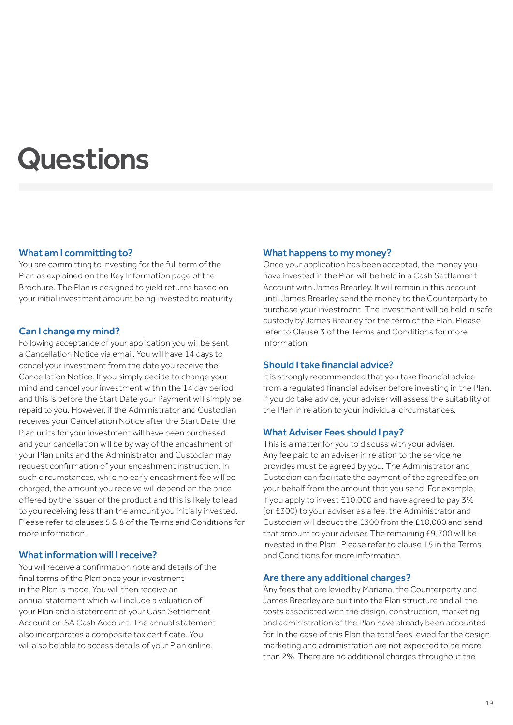## **Questions**

## What am I committing to?

You are committing to investing for the full term of the Plan as explained on the Key Information page of the Brochure. The Plan is designed to yield returns based on your initial investment amount being invested to maturity.

## Can I change my mind?

Following acceptance of your application you will be sent a Cancellation Notice via email. You will have 14 days to cancel your investment from the date you receive the Cancellation Notice. If you simply decide to change your mind and cancel your investment within the 14 day period and this is before the Start Date your Payment will simply be repaid to you. However, if the Administrator and Custodian receives your Cancellation Notice after the Start Date, the Plan units for your investment will have been purchased and your cancellation will be by way of the encashment of your Plan units and the Administrator and Custodian may request confirmation of your encashment instruction. In such circumstances, while no early encashment fee will be charged, the amount you receive will depend on the price offered by the issuer of the product and this is likely to lead to you receiving less than the amount you initially invested. Please refer to clauses 5 & 8 of the Terms and Conditions for more information.

## What information will I receive?

You will receive a confirmation note and details of the final terms of the Plan once your investment in the Plan is made. You will then receive an annual statement which will include a valuation of your Plan and a statement of your Cash Settlement Account or ISA Cash Account. The annual statement also incorporates a composite tax certificate. You will also be able to access details of your Plan online.

### What happens to my money?

Once your application has been accepted, the money you have invested in the Plan will be held in a Cash Settlement Account with James Brearley. It will remain in this account until James Brearley send the money to the Counterparty to purchase your investment. The investment will be held in safe custody by James Brearley for the term of the Plan. Please refer to Clause 3 of the Terms and Conditions for more information.

#### Should I take financial advice?

It is strongly recommended that you take financial advice from a regulated financial adviser before investing in the Plan. If you do take advice, your adviser will assess the suitability of the Plan in relation to your individual circumstances.

## What Adviser Fees should I pay?

This is a matter for you to discuss with your adviser. Any fee paid to an adviser in relation to the service he provides must be agreed by you. The Administrator and Custodian can facilitate the payment of the agreed fee on your behalf from the amount that you send. For example, if you apply to invest £10,000 and have agreed to pay 3% (or £300) to your adviser as a fee, the Administrator and Custodian will deduct the £300 from the £10,000 and send that amount to your adviser. The remaining £9,700 will be invested in the Plan . Please refer to clause 15 in the Terms and Conditions for more information.

#### Are there any additional charges?

Any fees that are levied by Mariana, the Counterparty and James Brearley are built into the Plan structure and all the costs associated with the design, construction, marketing and administration of the Plan have already been accounted for. In the case of this Plan the total fees levied for the design, marketing and administration are not expected to be more than 2%. There are no additional charges throughout the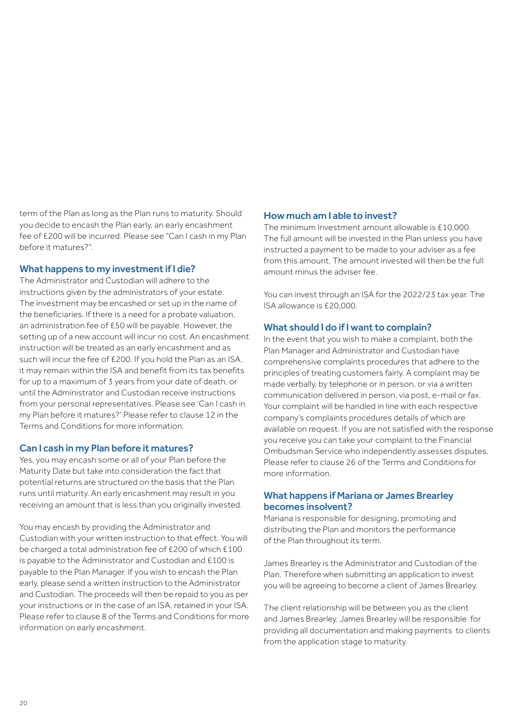term of the Plan as long as the Plan runs to maturity. Should you decide to encash the Plan early, an early encashment fee of £200 will be incurred. Please see "Can I cash in my Plan before it matures?".

## What happens to my investment if I die?

The Administrator and Custodian will adhere to the instructions given by the administrators of your estate. The investment may be encashed or set up in the name of the beneficiaries. If there is a need for a probate valuation, an administration fee of £50 will be payable. However, the setting up of a new account will incur no cost. An encashment instruction will be treated as an early encashment and as such will incur the fee of £200. If you hold the Plan as an ISA, it may remain within the ISA and benefit from its tax benefits for up to a maximum of 3 years from your date of death, or until the Administrator and Custodian receive instructions from your personal representatives. Please see 'Can I cash in my Plan before it matures?' Please refer to clause 12 in the Terms and Conditions for more information.

## Can I cash in my Plan before it matures?

Yes, you may encash some or all of your Plan before the Maturity Date but take into consideration the fact that potential returns are structured on the basis that the Plan runs until maturity. An early encashment may result in you receiving an amount that is less than you originally invested.

You may encash by providing the Administrator and Custodian with your written instruction to that effect. You will be charged a total administration fee of £200 of which £100 is payable to the Administrator and Custodian and £100 is payable to the Plan Manager. If you wish to encash the Plan early, please send a written instruction to the Administrator and Custodian. The proceeds will then be repaid to you as per your instructions or in the case of an ISA, retained in your ISA. Please refer to clause 8 of the Terms and Conditions for more information on early encashment.

## How much am I able to invest?

The minimum Investment amount allowable is £10,000. The full amount will be invested in the Plan unless you have instructed a payment to be made to your adviser as a fee from this amount. The amount invested will then be the full amount minus the adviser fee.

You can invest through an ISA for the 2022/23 tax year. The ISA allowance is £20,000.

## What should I do if I want to complain?

In the event that you wish to make a complaint, both the Plan Manager and Administrator and Custodian have comprehensive complaints procedures that adhere to the principles of treating customers fairly. A complaint may be made verbally, by telephone or in person, or via a written communication delivered in person, via post, e-mail or fax. Your complaint will be handled in line with each respective company's complaints procedures details of which are available on request. If you are not satisfied with the response you receive you can take your complaint to the Financial Ombudsman Service who independently assesses disputes. Please refer to clause 26 of the Terms and Conditions for more information.

## What happens if Mariana or James Brearley becomes insolvent?

Mariana is responsible for designing, promoting and distributing the Plan and monitors the performance of the Plan throughout its term.

James Brearley is the Administrator and Custodian of the Plan. Therefore when submitting an application to invest you will be agreeing to become a client of James Brearley.

The client relationship will be between you as the client and James Brearley. James Brearley will be responsible for providing all documentation and making payments to clients from the application stage to maturity.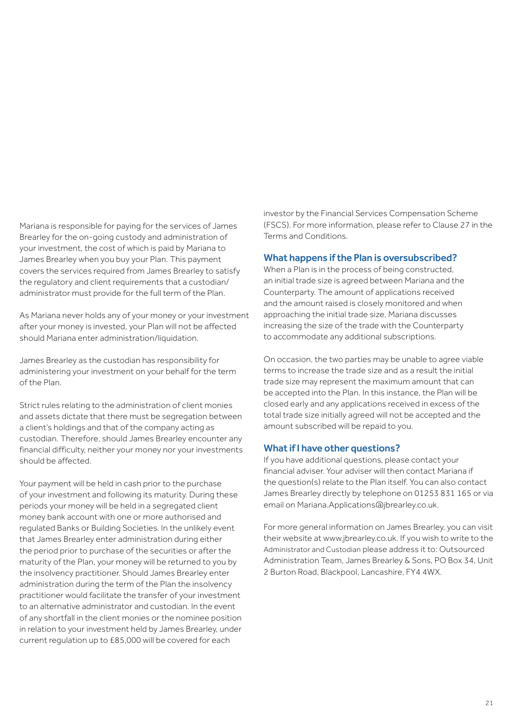Mariana is responsible for paying for the services of James Brearley for the on-going custody and administration of your investment, the cost of which is paid by Mariana to James Brearley when you buy your Plan. This payment covers the services required from James Brearley to satisfy the regulatory and client requirements that a custodian/ administrator must provide for the full term of the Plan.

As Mariana never holds any of your money or your investment after your money is invested, your Plan will not be affected should Mariana enter administration/liquidation.

James Brearley as the custodian has responsibility for administering your investment on your behalf for the term of the Plan.

Strict rules relating to the administration of client monies and assets dictate that there must be segregation between a client's holdings and that of the company acting as custodian. Therefore, should James Brearley encounter any financial difficulty, neither your money nor your investments should be affected.

Your payment will be held in cash prior to the purchase of your investment and following its maturity. During these periods your money will be held in a segregated client money bank account with one or more authorised and regulated Banks or Building Societies. In the unlikely event that James Brearley enter administration during either the period prior to purchase of the securities or after the maturity of the Plan, your money will be returned to you by the insolvency practitioner. Should James Brearley enter administration during the term of the Plan the insolvency practitioner would facilitate the transfer of your investment to an alternative administrator and custodian. In the event of any shortfall in the client monies or the nominee position in relation to your investment held by James Brearley, under current regulation up to £85,000 will be covered for each

investor by the Financial Services Compensation Scheme (FSCS). For more information, please refer to Clause 27 in the Terms and Conditions.

### What happens if the Plan is oversubscribed?

When a Plan is in the process of being constructed, an initial trade size is agreed between Mariana and the Counterparty. The amount of applications received and the amount raised is closely monitored and when approaching the initial trade size, Mariana discusses increasing the size of the trade with the Counterparty to accommodate any additional subscriptions.

On occasion, the two parties may be unable to agree viable terms to increase the trade size and as a result the initial trade size may represent the maximum amount that can be accepted into the Plan. In this instance, the Plan will be closed early and any applications received in excess of the total trade size initially agreed will not be accepted and the amount subscribed will be repaid to you.

### What if I have other questions?

If you have additional questions, please contact your financial adviser. Your adviser will then contact Mariana if the question(s) relate to the Plan itself. You can also contact James Brearley directly by telephone on 01253 831 165 or via email on Mariana.Applications@jbrearley.co.uk.

For more general information on James Brearley, you can visit their website at www.jbrearley.co.uk. If you wish to write to the Administrator and Custodian please address it to: Outsourced Administration Team, James Brearley & Sons, PO Box 34, Unit 2 Burton Road, Blackpool, Lancashire, FY4 4WX.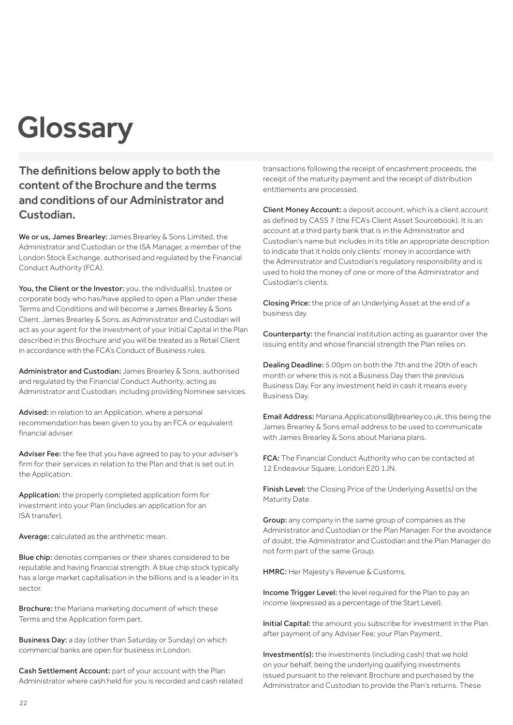## **Glossary**

The definitions below apply to both the content of the Brochure and the terms and conditions of our Administrator and Custodian.

We or us, James Brearley: James Brearley & Sons Limited, the Administrator and Custodian or the ISA Manager, a member of the London Stock Exchange, authorised and regulated by the Financial Conduct Authority (FCA).

You, the Client or the Investor: you, the individual(s), trustee or corporate body who has/have applied to open a Plan under these Terms and Conditions and will become a James Brearley & Sons Client. James Brearley & Sons, as Administrator and Custodian will act as your agent for the investment of your Initial Capital in the Plan described in this Brochure and you will be treated as a Retail Client in accordance with the FCA's Conduct of Business rules.

Administrator and Custodian: James Brearley & Sons, authorised and regulated by the Financial Conduct Authority, acting as Administrator and Custodian, including providing Nominee services.

Advised: in relation to an Application, where a personal recommendation has been given to you by an FCA or equivalent financial adviser.

Adviser Fee: the fee that you have agreed to pay to your adviser's firm for their services in relation to the Plan and that is set out in the Application.

Application: the properly completed application form for investment into your Plan (includes an application for an ISA transfer).

Average: calculated as the arithmetic mean.

Blue chip: denotes companies or their shares considered to be reputable and having financial strength. A blue chip stock typically has a large market capitalisation in the billions and is a leader in its sector.

Brochure: the Mariana marketing document of which these Terms and the Application form part.

Business Day: a day (other than Saturday or Sunday) on which commercial banks are open for business in London.

Cash Settlement Account: part of your account with the Plan Administrator where cash held for you is recorded and cash related transactions following the receipt of encashment proceeds, the receipt of the maturity payment and the receipt of distribution entitlements are processed.

Client Money Account: a deposit account, which is a client account as defined by CASS 7 (the FCA's Client Asset Sourcebook). It is an account at a third party bank that is in the Administrator and Custodian's name but includes in its title an appropriate description to indicate that it holds only clients' money in accordance with the Administrator and Custodian's regulatory responsibility and is used to hold the money of one or more of the Administrator and Custodian's clients.

Closing Price: the price of an Underlying Asset at the end of a business day.

Counterparty: the financial institution acting as guarantor over the issuing entity and whose financial strength the Plan relies on.

Dealing Deadline: 5.00pm on both the 7th and the 20th of each month or where this is not a Business Day then the previous Business Day. For any investment held in cash it means every Business Day.

Email Address: Mariana.Applications@jbrearley.co.uk, this being the James Brearley & Sons email address to be used to communicate with James Brearley & Sons about Mariana plans.

FCA: The Financial Conduct Authority who can be contacted at 12 Endeavour Square, London E20 1JN.

Finish Level: the Closing Price of the Underlying Asset(s) on the Maturity Date.

Group: any company in the same group of companies as the Administrator and Custodian or the Plan Manager. For the avoidance of doubt, the Administrator and Custodian and the Plan Manager do not form part of the same Group.

HMRC: Her Majesty's Revenue & Customs.

Income Trigger Level: the level required for the Plan to pay an income (expressed as a percentage of the Start Level).

Initial Capital: the amount you subscribe for investment in the Plan after payment of any Adviser Fee; your Plan Payment.

Investment(s): the investments (including cash) that we hold on your behalf, being the underlying qualifying investments issued pursuant to the relevant Brochure and purchased by the Administrator and Custodian to provide the Plan's returns. These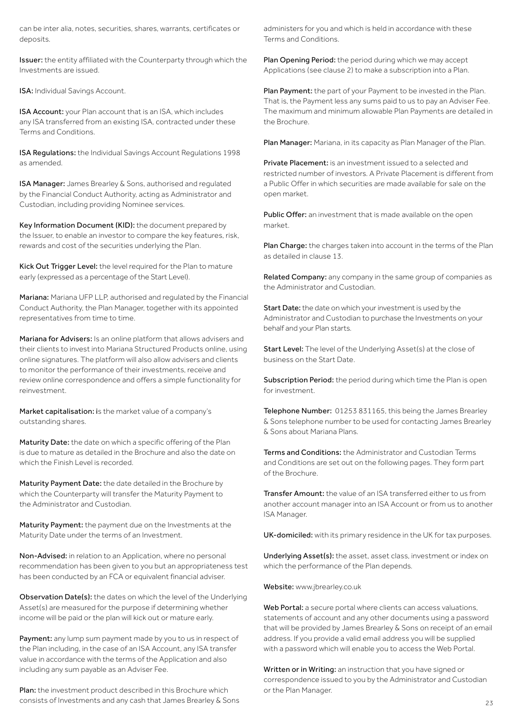can be inter alia, notes, securities, shares, warrants, certificates or deposits.

Issuer: the entity affiliated with the Counterparty through which the Investments are issued.

ISA: Individual Savings Account.

ISA Account: your Plan account that is an ISA, which includes any ISA transferred from an existing ISA, contracted under these Terms and Conditions.

ISA Regulations: the Individual Savings Account Regulations 1998 as amended.

ISA Manager: James Brearley & Sons, authorised and regulated by the Financial Conduct Authority, acting as Administrator and Custodian, including providing Nominee services.

Key Information Document (KID): the document prepared by the Issuer, to enable an investor to compare the key features, risk, rewards and cost of the securities underlying the Plan.

Kick Out Trigger Level: the level required for the Plan to mature early (expressed as a percentage of the Start Level).

Mariana: Mariana UFP LLP, authorised and regulated by the Financial Conduct Authority, the Plan Manager, together with its appointed representatives from time to time.

Mariana for Advisers: Is an online platform that allows advisers and their clients to invest into Mariana Structured Products online, using online signatures. The platform will also allow advisers and clients to monitor the performance of their investments, receive and review online correspondence and offers a simple functionality for reinvestment.

Market capitalisation: is the market value of a company's outstanding shares.

Maturity Date: the date on which a specific offering of the Plan is due to mature as detailed in the Brochure and also the date on which the Finish Level is recorded.

Maturity Payment Date: the date detailed in the Brochure by which the Counterparty will transfer the Maturity Payment to the Administrator and Custodian.

Maturity Payment: the payment due on the Investments at the Maturity Date under the terms of an Investment.

Non-Advised: in relation to an Application, where no personal recommendation has been given to you but an appropriateness test has been conducted by an FCA or equivalent financial adviser.

Observation Date(s): the dates on which the level of the Underlying Asset(s) are measured for the purpose if determining whether income will be paid or the plan will kick out or mature early.

Payment: any lump sum payment made by you to us in respect of the Plan including, in the case of an ISA Account, any ISA transfer value in accordance with the terms of the Application and also including any sum payable as an Adviser Fee.

Plan: the investment product described in this Brochure which consists of Investments and any cash that James Brearley & Sons administers for you and which is held in accordance with these Terms and Conditions.

Plan Opening Period: the period during which we may accept Applications (see clause 2) to make a subscription into a Plan.

Plan Payment: the part of your Payment to be invested in the Plan. That is, the Payment less any sums paid to us to pay an Adviser Fee. The maximum and minimum allowable Plan Payments are detailed in the Brochure.

Plan Manager: Mariana, in its capacity as Plan Manager of the Plan.

Private Placement: is an investment issued to a selected and restricted number of investors. A Private Placement is different from a Public Offer in which securities are made available for sale on the open market.

Public Offer: an investment that is made available on the open market.

Plan Charge: the charges taken into account in the terms of the Plan as detailed in clause 13.

Related Company: any company in the same group of companies as the Administrator and Custodian.

Start Date: the date on which your investment is used by the Administrator and Custodian to purchase the Investments on your behalf and your Plan starts.

Start Level: The level of the Underlying Asset(s) at the close of business on the Start Date.

Subscription Period: the period during which time the Plan is open for investment.

Telephone Number: 01253 831165, this being the James Brearley & Sons telephone number to be used for contacting James Brearley & Sons about Mariana Plans.

Terms and Conditions: the Administrator and Custodian Terms and Conditions are set out on the following pages. They form part of the Brochure.

Transfer Amount: the value of an ISA transferred either to us from another account manager into an ISA Account or from us to another ISA Manager.

UK-domiciled: with its primary residence in the UK for tax purposes.

Underlying Asset(s): the asset, asset class, investment or index on which the performance of the Plan depends.

Website: www.jbrearley.co.uk

Web Portal: a secure portal where clients can access valuations, statements of account and any other documents using a password that will be provided by James Brearley & Sons on receipt of an email address. If you provide a valid email address you will be supplied with a password which will enable you to access the Web Portal.

Written or in Writing: an instruction that you have signed or correspondence issued to you by the Administrator and Custodian or the Plan Manager.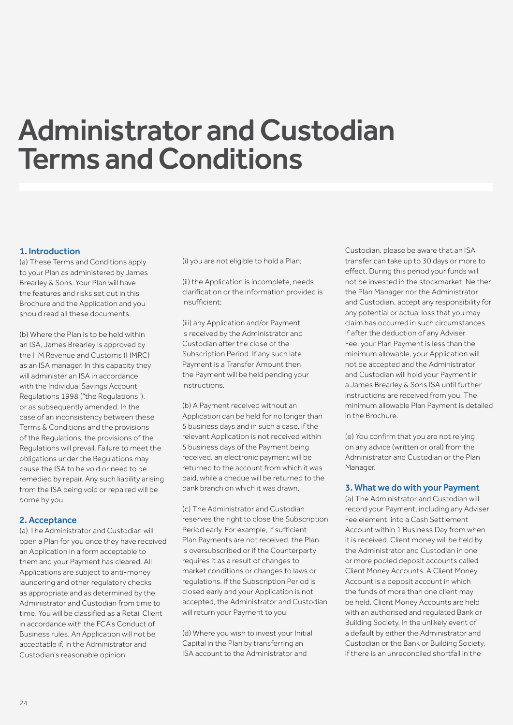## Administrator and Custodian Terms and Conditions

## 1. Introduction

(a) These Terms and Conditions apply to your Plan as administered by James Brearley & Sons. Your Plan will have the features and risks set out in this Brochure and the Application and you should read all these documents.

(b) Where the Plan is to be held within an ISA, James Brearley is approved by the HM Revenue and Customs (HMRC) as an ISA manager. In this capacity they will administer an ISA in accordance with the Individual Savings Account Regulations 1998 ("the Regulations"), or as subsequently amended. In the case of an inconsistency between these Terms & Conditions and the provisions of the Regulations, the provisions of the Regulations will prevail. Failure to meet the obligations under the Regulations may cause the ISA to be void or need to be remedied by repair. Any such liability arising from the ISA being void or repaired will be borne by you.

## 2. Acceptance

(a) The Administrator and Custodian will open a Plan for you once they have received an Application in a form acceptable to them and your Payment has cleared. All Applications are subject to anti-money laundering and other regulatory checks as appropriate and as determined by the Administrator and Custodian from time to time. You will be classified as a Retail Client in accordance with the FCA's Conduct of Business rules. An Application will not be acceptable if, in the Administrator and Custodian's reasonable opinion:

(i) you are not eligible to hold a Plan;

(ii) the Application is incomplete, needs clarification or the information provided is insufficient;

(iii) any Application and/or Payment is received by the Administrator and Custodian after the close of the Subscription Period. If any such late Payment is a Transfer Amount then the Payment will be held pending your instructions.

(b) A Payment received without an Application can be held for no longer than 5 business days and in such a case, if the relevant Application is not received within 5 business days of the Payment being received, an electronic payment will be returned to the account from which it was paid, while a cheque will be returned to the bank branch on which it was drawn.

(c) The Administrator and Custodian reserves the right to close the Subscription Period early. For example, if sufficient Plan Payments are not received, the Plan is oversubscribed or if the Counterparty requires it as a result of changes to market conditions or changes to laws or regulations. If the Subscription Period is closed early and your Application is not accepted, the Administrator and Custodian will return your Payment to you.

(d) Where you wish to invest your Initial Capital in the Plan by transferring an ISA account to the Administrator and

Custodian, please be aware that an ISA transfer can take up to 30 days or more to effect. During this period your funds will not be invested in the stockmarket. Neither the Plan Manager nor the Administrator and Custodian, accept any responsibility for any potential or actual loss that you may claim has occurred in such circumstances. If after the deduction of any Adviser Fee, your Plan Payment is less than the minimum allowable, your Application will not be accepted and the Administrator and Custodian will hold your Payment in a James Brearley & Sons ISA until further instructions are received from you. The minimum allowable Plan Payment is detailed in the Brochure.

(e) You confirm that you are not relying on any advice (written or oral) from the Administrator and Custodian or the Plan Manager.

#### 3. What we do with your Payment

(a) The Administrator and Custodian will record your Payment, including any Adviser Fee element, into a Cash Settlement Account within 1 Business Day from when it is received. Client money will be held by the Administrator and Custodian in one or more pooled deposit accounts called Client Money Accounts. A Client Money Account is a deposit account in which the funds of more than one client may be held. Client Money Accounts are held with an authorised and regulated Bank or Building Society. In the unlikely event of a default by either the Administrator and Custodian or the Bank or Building Society, if there is an unreconciled shortfall in the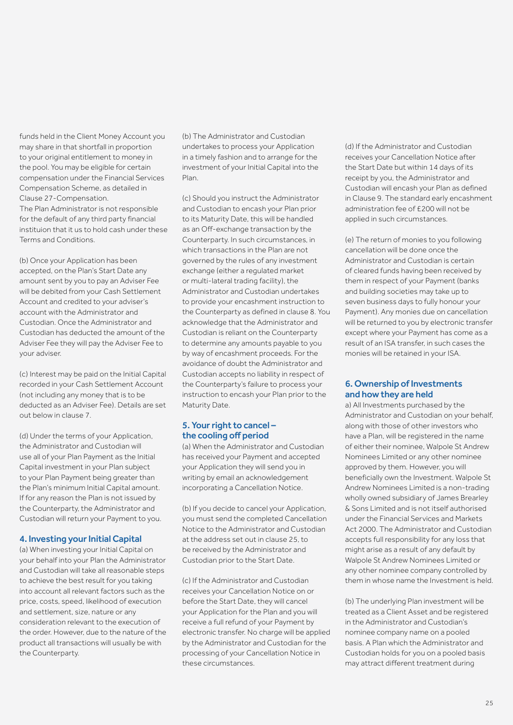funds held in the Client Money Account you may share in that shortfall in proportion to your original entitlement to money in the pool. You may be eligible for certain compensation under the Financial Services Compensation Scheme, as detailed in Clause 27-Compensation. The Plan Administrator is not responsible for the default of any third party financial instituion that it us to hold cash under these Terms and Conditions.

(b) Once your Application has been accepted, on the Plan's Start Date any amount sent by you to pay an Adviser Fee will be debited from your Cash Settlement Account and credited to your adviser's account with the Administrator and Custodian. Once the Administrator and Custodian has deducted the amount of the Adviser Fee they will pay the Adviser Fee to your adviser.

(c) Interest may be paid on the Initial Capital recorded in your Cash Settlement Account (not including any money that is to be deducted as an Adviser Fee). Details are set out below in clause 7.

(d) Under the terms of your Application, the Administrator and Custodian will use all of your Plan Payment as the Initial Capital investment in your Plan subject to your Plan Payment being greater than the Plan's minimum Initial Capital amount. If for any reason the Plan is not issued by the Counterparty, the Administrator and Custodian will return your Payment to you.

#### 4. Investing your Initial Capital

(a) When investing your Initial Capital on your behalf into your Plan the Administrator and Custodian will take all reasonable steps to achieve the best result for you taking into account all relevant factors such as the price, costs, speed, likelihood of execution and settlement, size, nature or any consideration relevant to the execution of the order. However, due to the nature of the product all transactions will usually be with the Counterparty.

(b) The Administrator and Custodian undertakes to process your Application in a timely fashion and to arrange for the investment of your Initial Capital into the Plan.

(c) Should you instruct the Administrator and Custodian to encash your Plan prior to its Maturity Date, this will be handled as an Off-exchange transaction by the Counterparty. In such circumstances, in which transactions in the Plan are not governed by the rules of any investment exchange (either a regulated market or multi-lateral trading facility), the Administrator and Custodian undertakes to provide your encashment instruction to the Counterparty as defined in clause 8. You acknowledge that the Administrator and Custodian is reliant on the Counterparty to determine any amounts payable to you by way of encashment proceeds. For the avoidance of doubt the Administrator and Custodian accepts no liability in respect of the Counterparty's failure to process your instruction to encash your Plan prior to the Maturity Date.

## 5. Your right to cancel – the cooling off period

(a) When the Administrator and Custodian has received your Payment and accepted your Application they will send you in writing by email an acknowledgement incorporating a Cancellation Notice.

(b) If you decide to cancel your Application, you must send the completed Cancellation Notice to the Administrator and Custodian at the address set out in clause 25, to be received by the Administrator and Custodian prior to the Start Date.

(c) If the Administrator and Custodian receives your Cancellation Notice on or before the Start Date, they will cancel your Application for the Plan and you will receive a full refund of your Payment by electronic transfer. No charge will be applied by the Administrator and Custodian for the processing of your Cancellation Notice in these circumstances.

(d) If the Administrator and Custodian receives your Cancellation Notice after the Start Date but within 14 days of its receipt by you, the Administrator and Custodian will encash your Plan as defined in Clause 9. The standard early encashment administration fee of £200 will not be applied in such circumstances.

(e) The return of monies to you following cancellation will be done once the Administrator and Custodian is certain of cleared funds having been received by them in respect of your Payment (banks and building societies may take up to seven business days to fully honour your Payment). Any monies due on cancellation will be returned to you by electronic transfer except where your Payment has come as a result of an ISA transfer, in such cases the monies will be retained in your ISA.

### 6. Ownership of Investments and how they are held

a) All Investments purchased by the Administrator and Custodian on your behalf, along with those of other investors who have a Plan, will be registered in the name of either their nominee, Walpole St Andrew Nominees Limited or any other nominee approved by them. However, you will beneficially own the Investment. Walpole St Andrew Nominees Limited is a non-trading wholly owned subsidiary of James Brearley & Sons Limited and is not itself authorised under the Financial Services and Markets Act 2000. The Administrator and Custodian accepts full responsibility for any loss that might arise as a result of any default by Walpole St Andrew Nominees Limited or any other nominee company controlled by them in whose name the Investment is held.

(b) The underlying Plan investment will be treated as a Client Asset and be registered in the Administrator and Custodian's nominee company name on a pooled basis. A Plan which the Administrator and Custodian holds for you on a pooled basis may attract different treatment during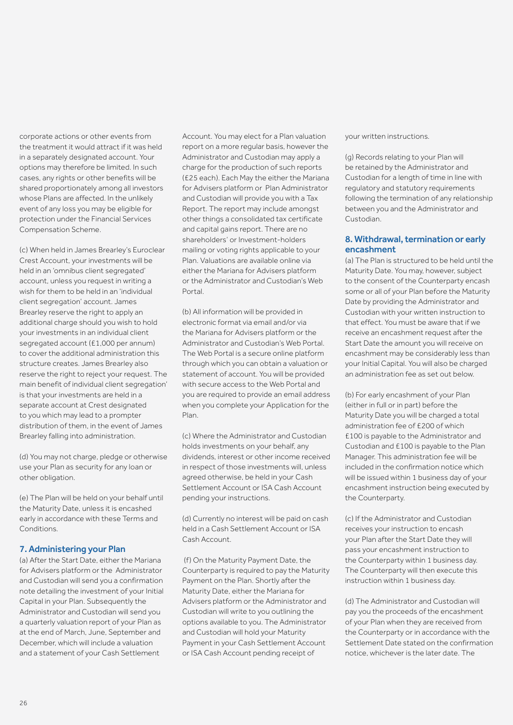corporate actions or other events from the treatment it would attract if it was held in a separately designated account. Your options may therefore be limited. In such cases, any rights or other benefits will be shared proportionately among all investors whose Plans are affected. In the unlikely event of any loss you may be eligible for protection under the Financial Services Compensation Scheme.

(c) When held in James Brearley's Euroclear Crest Account, your investments will be held in an 'omnibus client segregated' account, unless you request in writing a wish for them to be held in an 'individual client segregation' account. James Brearley reserve the right to apply an additional charge should you wish to hold your investments in an individual client segregated account (£1,000 per annum) to cover the additional administration this structure creates. James Brearley also reserve the right to reject your request. The main benefit of individual client segregation' is that your investments are held in a separate account at Crest designated to you which may lead to a prompter distribution of them, in the event of James Brearley falling into administration.

(d) You may not charge, pledge or otherwise use your Plan as security for any loan or other obligation.

(e) The Plan will be held on your behalf until the Maturity Date, unless it is encashed early in accordance with these Terms and Conditions.

## 7. Administering your Plan

(a) After the Start Date, either the Mariana for Advisers platform or the Administrator and Custodian will send you a confirmation note detailing the investment of your Initial Capital in your Plan. Subsequently the Administrator and Custodian will send you a quarterly valuation report of your Plan as at the end of March, June, September and December, which will include a valuation and a statement of your Cash Settlement

Account. You may elect for a Plan valuation report on a more regular basis, however the Administrator and Custodian may apply a charge for the production of such reports (£25 each). Each May the either the Mariana for Advisers platform or Plan Administrator and Custodian will provide you with a Tax Report. The report may include amongst other things a consolidated tax certificate and capital gains report. There are no shareholders' or Investment-holders mailing or voting rights applicable to your Plan. Valuations are available online via either the Mariana for Advisers platform or the Administrator and Custodian's Web Portal.

(b) All information will be provided in electronic format via email and/or via the Mariana for Advisers platform or the Administrator and Custodian's Web Portal. The Web Portal is a secure online platform through which you can obtain a valuation or statement of account. You will be provided with secure access to the Web Portal and you are required to provide an email address when you complete your Application for the Plan.

(c) Where the Administrator and Custodian holds investments on your behalf, any dividends, interest or other income received in respect of those investments will, unless agreed otherwise, be held in your Cash Settlement Account or ISA Cash Account pending your instructions.

(d) Currently no interest will be paid on cash held in a Cash Settlement Account or ISA Cash Account.

 (f) On the Maturity Payment Date, the Counterparty is required to pay the Maturity Payment on the Plan. Shortly after the Maturity Date, either the Mariana for Advisers platform or the Administrator and Custodian will write to you outlining the options available to you. The Administrator and Custodian will hold your Maturity Payment in your Cash Settlement Account or ISA Cash Account pending receipt of

your written instructions.

(g) Records relating to your Plan will be retained by the Administrator and Custodian for a length of time in line with regulatory and statutory requirements following the termination of any relationship between you and the Administrator and Custodian.

## 8. Withdrawal, termination or early encashment

(a) The Plan is structured to be held until the Maturity Date. You may, however, subject to the consent of the Counterparty encash some or all of your Plan before the Maturity Date by providing the Administrator and Custodian with your written instruction to that effect. You must be aware that if we receive an encashment request after the Start Date the amount you will receive on encashment may be considerably less than your Initial Capital. You will also be charged an administration fee as set out below.

(b) For early encashment of your Plan (either in full or in part) before the Maturity Date you will be charged a total administration fee of £200 of which £100 is payable to the Administrator and Custodian and £100 is payable to the Plan Manager. This administration fee will be included in the confirmation notice which will be issued within 1 business day of your encashment instruction being executed by the Counterparty.

(c) If the Administrator and Custodian receives your instruction to encash your Plan after the Start Date they will pass your encashment instruction to the Counterparty within 1 business day. The Counterparty will then execute this instruction within 1 business day.

(d) The Administrator and Custodian will pay you the proceeds of the encashment of your Plan when they are received from the Counterparty or in accordance with the Settlement Date stated on the confirmation notice, whichever is the later date. The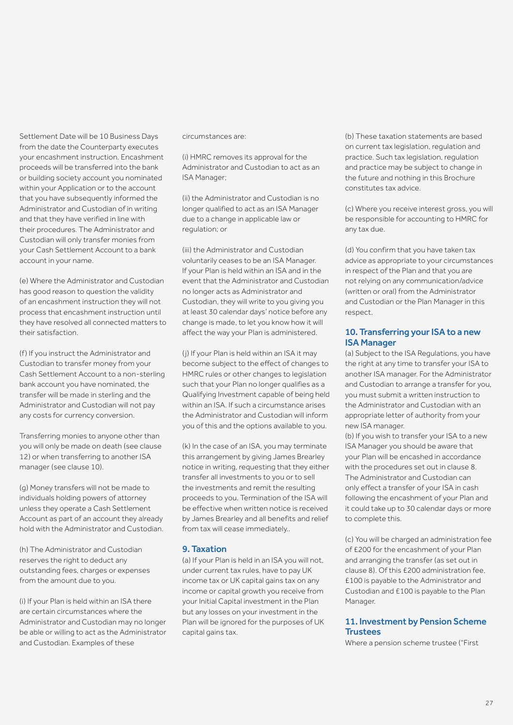Settlement Date will be 10 Business Days from the date the Counterparty executes your encashment instruction. Encashment proceeds will be transferred into the bank or building society account you nominated within your Application or to the account that you have subsequently informed the Administrator and Custodian of in writing and that they have verified in line with their procedures. The Administrator and Custodian will only transfer monies from your Cash Settlement Account to a bank account in your name.

(e) Where the Administrator and Custodian has good reason to question the validity of an encashment instruction they will not process that encashment instruction until they have resolved all connected matters to their satisfaction.

(f) If you instruct the Administrator and Custodian to transfer money from your Cash Settlement Account to a non-sterling bank account you have nominated, the transfer will be made in sterling and the Administrator and Custodian will not pay any costs for currency conversion.

Transferring monies to anyone other than you will only be made on death (see clause 12) or when transferring to another ISA manager (see clause 10).

(g) Money transfers will not be made to individuals holding powers of attorney unless they operate a Cash Settlement Account as part of an account they already hold with the Administrator and Custodian.

(h) The Administrator and Custodian reserves the right to deduct any outstanding fees, charges or expenses from the amount due to you.

(i) If your Plan is held within an ISA there are certain circumstances where the Administrator and Custodian may no longer be able or willing to act as the Administrator and Custodian. Examples of these

#### circumstances are:

(i) HMRC removes its approval for the Administrator and Custodian to act as an ISA Manager;

(ii) the Administrator and Custodian is no longer qualified to act as an ISA Manager due to a change in applicable law or regulation; or

(iii) the Administrator and Custodian voluntarily ceases to be an ISA Manager. If your Plan is held within an ISA and in the event that the Administrator and Custodian no longer acts as Administrator and Custodian, they will write to you giving you at least 30 calendar days' notice before any change is made, to let you know how it will affect the way your Plan is administered.

( j) If your Plan is held within an ISA it may become subject to the effect of changes to HMRC rules or other changes to legislation such that your Plan no longer qualifies as a Qualifying Investment capable of being held within an ISA. If such a circumstance arises the Administrator and Custodian will inform you of this and the options available to you.

(k) In the case of an ISA, you may terminate this arrangement by giving James Brearley notice in writing, requesting that they either transfer all investments to you or to sell the investments and remit the resulting proceeds to you. Termination of the ISA will be effective when written notice is received by James Brearley and all benefits and relief from tax will cease immediately..

#### 9. Taxation

(a) If your Plan is held in an ISA you will not, under current tax rules, have to pay UK income tax or UK capital gains tax on any income or capital growth you receive from your Initial Capital investment in the Plan but any losses on your investment in the Plan will be ignored for the purposes of UK capital gains tax.

(b) These taxation statements are based on current tax legislation, regulation and practice. Such tax legislation, regulation and practice may be subject to change in the future and nothing in this Brochure constitutes tax advice.

(c) Where you receive interest gross, you will be responsible for accounting to HMRC for any tax due.

(d) You confirm that you have taken tax advice as appropriate to your circumstances in respect of the Plan and that you are not relying on any communication/advice (written or oral) from the Administrator and Custodian or the Plan Manager in this respect.

#### 10. Transferring your ISA to a new ISA Manager

(a) Subject to the ISA Regulations, you have the right at any time to transfer your ISA to another ISA manager. For the Administrator and Custodian to arrange a transfer for you, you must submit a written instruction to the Administrator and Custodian with an appropriate letter of authority from your new ISA manager.

(b) If you wish to transfer your ISA to a new ISA Manager you should be aware that your Plan will be encashed in accordance with the procedures set out in clause 8. The Administrator and Custodian can only effect a transfer of your ISA in cash following the encashment of your Plan and it could take up to 30 calendar days or more to complete this.

(c) You will be charged an administration fee of £200 for the encashment of your Plan and arranging the transfer (as set out in clause 8). Of this £200 administration fee, £100 is payable to the Administrator and Custodian and £100 is payable to the Plan Manager.

#### 11. Investment by Pension Scheme **Trustees**

Where a pension scheme trustee ("First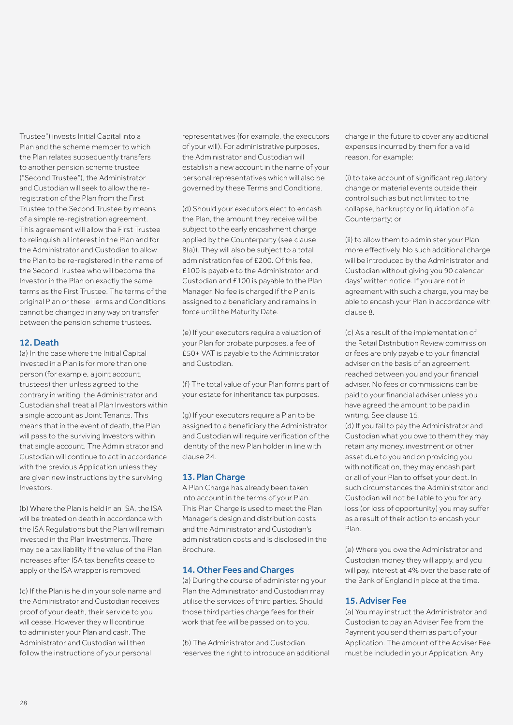Trustee") invests Initial Capital into a Plan and the scheme member to which the Plan relates subsequently transfers to another pension scheme trustee ("Second Trustee"), the Administrator and Custodian will seek to allow the reregistration of the Plan from the First Trustee to the Second Trustee by means of a simple re-registration agreement. This agreement will allow the First Trustee to relinquish all interest in the Plan and for the Administrator and Custodian to allow the Plan to be re-registered in the name of the Second Trustee who will become the Investor in the Plan on exactly the same terms as the First Trustee. The terms of the original Plan or these Terms and Conditions cannot be changed in any way on transfer between the pension scheme trustees.

## 12. Death

(a) In the case where the Initial Capital invested in a Plan is for more than one person (for example, a joint account, trustees) then unless agreed to the contrary in writing, the Administrator and Custodian shall treat all Plan Investors within a single account as Joint Tenants. This means that in the event of death, the Plan will pass to the surviving Investors within that single account. The Administrator and Custodian will continue to act in accordance with the previous Application unless they are given new instructions by the surviving Investors.

(b) Where the Plan is held in an ISA, the ISA will be treated on death in accordance with the ISA Regulations but the Plan will remain invested in the Plan Investments. There may be a tax liability if the value of the Plan increases after ISA tax benefits cease to apply or the ISA wrapper is removed.

(c) If the Plan is held in your sole name and the Administrator and Custodian receives proof of your death, their service to you will cease. However they will continue to administer your Plan and cash. The Administrator and Custodian will then follow the instructions of your personal

representatives (for example, the executors of your will). For administrative purposes, the Administrator and Custodian will establish a new account in the name of your personal representatives which will also be governed by these Terms and Conditions.

(d) Should your executors elect to encash the Plan, the amount they receive will be subject to the early encashment charge applied by the Counterparty (see clause 8(a)). They will also be subject to a total administration fee of £200. Of this fee, £100 is payable to the Administrator and Custodian and £100 is payable to the Plan Manager. No fee is charged if the Plan is assigned to a beneficiary and remains in force until the Maturity Date.

(e) If your executors require a valuation of your Plan for probate purposes, a fee of £50+ VAT is payable to the Administrator and Custodian.

(f) The total value of your Plan forms part of your estate for inheritance tax purposes.

(g) If your executors require a Plan to be assigned to a beneficiary the Administrator and Custodian will require verification of the identity of the new Plan holder in line with clause 24.

#### 13. Plan Charge

A Plan Charge has already been taken into account in the terms of your Plan. This Plan Charge is used to meet the Plan Manager's design and distribution costs and the Administrator and Custodian's administration costs and is disclosed in the Brochure.

#### 14. Other Fees and Charges

(a) During the course of administering your Plan the Administrator and Custodian may utilise the services of third parties. Should those third parties charge fees for their work that fee will be passed on to you.

(b) The Administrator and Custodian reserves the right to introduce an additional charge in the future to cover any additional expenses incurred by them for a valid reason, for example:

(i) to take account of significant regulatory change or material events outside their control such as but not limited to the collapse, bankruptcy or liquidation of a Counterparty; or

(ii) to allow them to administer your Plan more effectively. No such additional charge will be introduced by the Administrator and Custodian without giving you 90 calendar days' written notice. If you are not in agreement with such a charge, you may be able to encash your Plan in accordance with clause 8.

(c) As a result of the implementation of the Retail Distribution Review commission or fees are only payable to your financial adviser on the basis of an agreement reached between you and your financial adviser. No fees or commissions can be paid to your financial adviser unless you have agreed the amount to be paid in writing. See clause 15.

(d) If you fail to pay the Administrator and Custodian what you owe to them they may retain any money, investment or other asset due to you and on providing you with notification, they may encash part or all of your Plan to offset your debt. In such circumstances the Administrator and Custodian will not be liable to you for any loss (or loss of opportunity) you may suffer as a result of their action to encash your Plan.

(e) Where you owe the Administrator and Custodian money they will apply, and you will pay, interest at 4% over the base rate of the Bank of England in place at the time.

#### 15. Adviser Fee

(a) You may instruct the Administrator and Custodian to pay an Adviser Fee from the Payment you send them as part of your Application. The amount of the Adviser Fee must be included in your Application. Any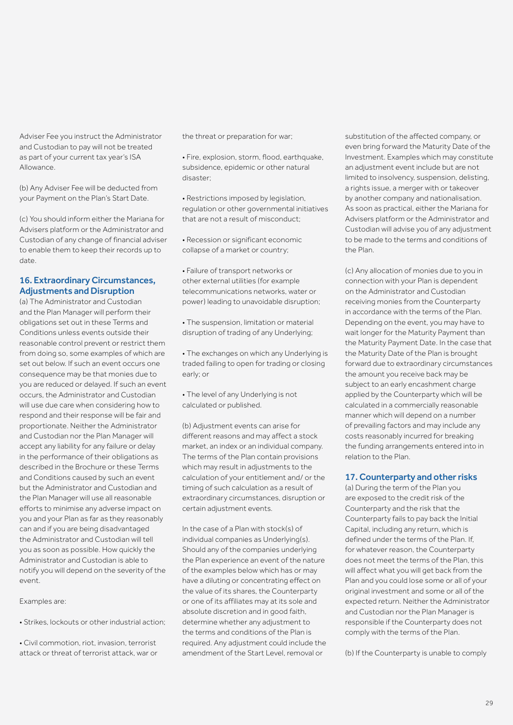Adviser Fee you instruct the Administrator and Custodian to pay will not be treated as part of your current tax year's ISA Allowance.

(b) Any Adviser Fee will be deducted from your Payment on the Plan's Start Date.

(c) You should inform either the Mariana for Advisers platform or the Administrator and Custodian of any change of financial adviser to enable them to keep their records up to date.

## 16. Extraordinary Circumstances, Adjustments and Disruption

(a) The Administrator and Custodian and the Plan Manager will perform their obligations set out in these Terms and Conditions unless events outside their reasonable control prevent or restrict them from doing so, some examples of which are set out below. If such an event occurs one consequence may be that monies due to you are reduced or delayed. If such an event occurs, the Administrator and Custodian will use due care when considering how to respond and their response will be fair and proportionate. Neither the Administrator and Custodian nor the Plan Manager will accept any liability for any failure or delay in the performance of their obligations as described in the Brochure or these Terms and Conditions caused by such an event but the Administrator and Custodian and the Plan Manager will use all reasonable efforts to minimise any adverse impact on you and your Plan as far as they reasonably can and if you are being disadvantaged the Administrator and Custodian will tell you as soon as possible. How quickly the Administrator and Custodian is able to notify you will depend on the severity of the event.

Examples are:

• Strikes, lockouts or other industrial action;

• Civil commotion, riot, invasion, terrorist attack or threat of terrorist attack, war or the threat or preparation for war;

- Fire, explosion, storm, flood, earthquake, subsidence, epidemic or other natural disaster;
- Restrictions imposed by legislation, regulation or other governmental initiatives that are not a result of misconduct;
- Recession or significant economic collapse of a market or country;
- Failure of transport networks or other external utilities (for example telecommunications networks, water or power) leading to unavoidable disruption;
- The suspension, limitation or material disruption of trading of any Underlying;
- The exchanges on which any Underlying is traded failing to open for trading or closing early; or
- The level of any Underlying is not calculated or published.

(b) Adjustment events can arise for different reasons and may affect a stock market, an index or an individual company. The terms of the Plan contain provisions which may result in adjustments to the calculation of your entitlement and/ or the timing of such calculation as a result of extraordinary circumstances, disruption or certain adjustment events.

In the case of a Plan with stock(s) of individual companies as Underlying(s). Should any of the companies underlying the Plan experience an event of the nature of the examples below which has or may have a diluting or concentrating effect on the value of its shares, the Counterparty or one of its affiliates may at its sole and absolute discretion and in good faith, determine whether any adjustment to the terms and conditions of the Plan is required. Any adjustment could include the amendment of the Start Level, removal or

substitution of the affected company, or even bring forward the Maturity Date of the Investment. Examples which may constitute an adjustment event include but are not limited to insolvency, suspension, delisting, a rights issue, a merger with or takeover by another company and nationalisation. As soon as practical, either the Mariana for Advisers platform or the Administrator and Custodian will advise you of any adjustment to be made to the terms and conditions of the Plan.

(c) Any allocation of monies due to you in connection with your Plan is dependent on the Administrator and Custodian receiving monies from the Counterparty in accordance with the terms of the Plan. Depending on the event, you may have to wait longer for the Maturity Payment than the Maturity Payment Date. In the case that the Maturity Date of the Plan is brought forward due to extraordinary circumstances the amount you receive back may be subject to an early encashment charge applied by the Counterparty which will be calculated in a commercially reasonable manner which will depend on a number of prevailing factors and may include any costs reasonably incurred for breaking the funding arrangements entered into in relation to the Plan.

## 17. Counterparty and other risks

(a) During the term of the Plan you are exposed to the credit risk of the Counterparty and the risk that the Counterparty fails to pay back the Initial Capital, including any return, which is defined under the terms of the Plan. If, for whatever reason, the Counterparty does not meet the terms of the Plan, this will affect what you will get back from the Plan and you could lose some or all of your original investment and some or all of the expected return. Neither the Administrator and Custodian nor the Plan Manager is responsible if the Counterparty does not comply with the terms of the Plan.

(b) If the Counterparty is unable to comply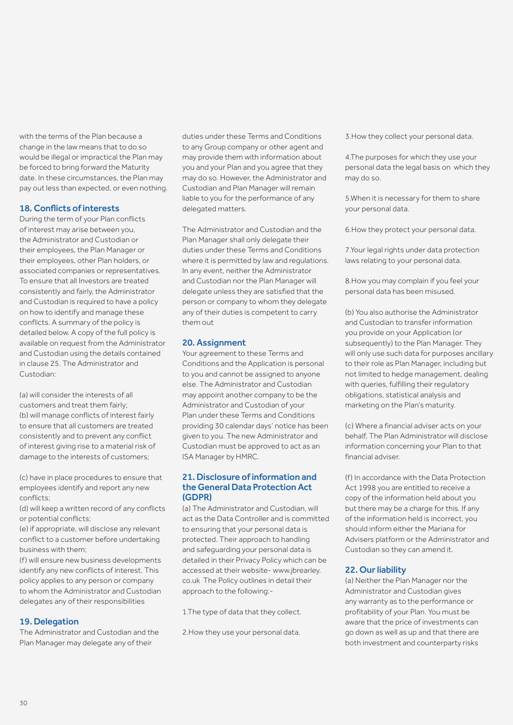with the terms of the Plan because a change in the law means that to do so would be illegal or impractical the Plan may be forced to bring forward the Maturity date. In these circumstances, the Plan may pay out less than expected, or even nothing.

### 18. Conflicts of interests

During the term of your Plan conflicts of interest may arise between you, the Administrator and Custodian or their employees, the Plan Manager or their employees, other Plan holders, or associated companies or representatives. To ensure that all Investors are treated consistently and fairly, the Administrator and Custodian is required to have a policy on how to identify and manage these conflicts. A summary of the policy is detailed below. A copy of the full policy is available on request from the Administrator and Custodian using the details contained in clause 25. The Administrator and Custodian:

(a) will consider the interests of all customers and treat them fairly; (b) will manage conflicts of interest fairly to ensure that all customers are treated consistently and to prevent any conflict of interest giving rise to a material risk of damage to the interests of customers;

(c) have in place procedures to ensure that employees identify and report any new conflicts;

(d) will keep a written record of any conflicts or potential conflicts;

(e) if appropriate, will disclose any relevant conflict to a customer before undertaking business with them;

(f) will ensure new business developments identify any new conflicts of interest. This policy applies to any person or company to whom the Administrator and Custodian delegates any of their responsibilities

## 19. Delegation

The Administrator and Custodian and the Plan Manager may delegate any of their

duties under these Terms and Conditions to any Group company or other agent and may provide them with information about you and your Plan and you agree that they may do so. However, the Administrator and Custodian and Plan Manager will remain liable to you for the performance of any delegated matters.

The Administrator and Custodian and the Plan Manager shall only delegate their duties under these Terms and Conditions where it is permitted by law and regulations. In any event, neither the Administrator and Custodian nor the Plan Manager will delegate unless they are satisfied that the person or company to whom they delegate any of their duties is competent to carry them out

#### 20. Assignment

Your agreement to these Terms and Conditions and the Application is personal to you and cannot be assigned to anyone else. The Administrator and Custodian may appoint another company to be the Administrator and Custodian of your Plan under these Terms and Conditions providing 30 calendar days' notice has been given to you. The new Administrator and Custodian must be approved to act as an ISA Manager by HMRC.

#### 21. Disclosure of information and the General Data Protection Act (GDPR)

(a) The Administrator and Custodian, will act as the Data Controller and is committed to ensuring that your personal data is protected. Their approach to handling and safeguarding your personal data is detailed in their Privacy Policy which can be accessed at their website- www.jbrearley. co.uk The Policy outlines in detail their approach to the following:-

1.The type of data that they collect.

2.How they use your personal data.

3.How they collect your personal data.

4.The purposes for which they use your personal data the legal basis on which they may do so.

5.When it is necessary for them to share your personal data.

6.How they protect your personal data.

7.Your legal rights under data protection laws relating to your personal data.

8.How you may complain if you feel your personal data has been misused.

(b) You also authorise the Administrator and Custodian to transfer information you provide on your Application (or subsequently) to the Plan Manager. They will only use such data for purposes ancillary to their role as Plan Manager, including but not limited to hedge management, dealing with queries, fulfilling their regulatory obligations, statistical analysis and marketing on the Plan's maturity.

(c) Where a financial adviser acts on your behalf, The Plan Administrator will disclose information concerning your Plan to that financial adviser.

(f) In accordance with the Data Protection Act 1998 you are entitled to receive a copy of the information held about you but there may be a charge for this. If any of the information held is incorrect, you should inform either the Mariana for Advisers platform or the Administrator and Custodian so they can amend it.

## 22. Our liability

(a) Neither the Plan Manager nor the Administrator and Custodian gives any warranty as to the performance or profitability of your Plan. You must be aware that the price of investments can go down as well as up and that there are both investment and counterparty risks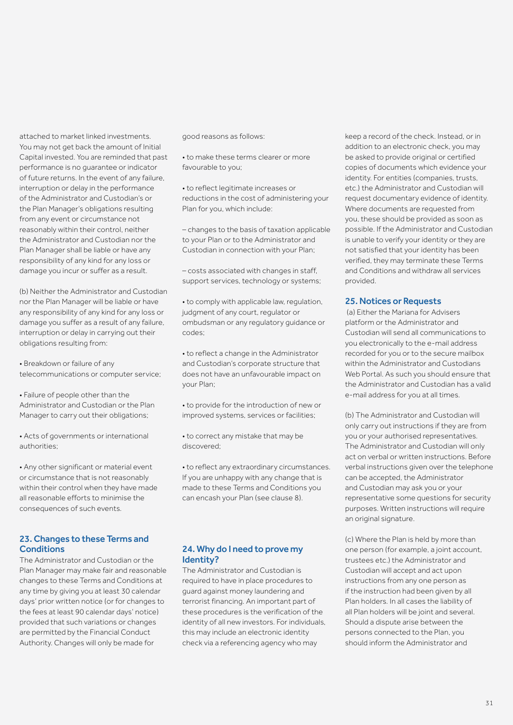attached to market linked investments. You may not get back the amount of Initial Capital invested. You are reminded that past performance is no guarantee or indicator of future returns. In the event of any failure, interruption or delay in the performance of the Administrator and Custodian's or the Plan Manager's obligations resulting from any event or circumstance not reasonably within their control, neither the Administrator and Custodian nor the Plan Manager shall be liable or have any responsibility of any kind for any loss or damage you incur or suffer as a result.

(b) Neither the Administrator and Custodian nor the Plan Manager will be liable or have any responsibility of any kind for any loss or damage you suffer as a result of any failure, interruption or delay in carrying out their obligations resulting from:

• Breakdown or failure of any telecommunications or computer service;

• Failure of people other than the Administrator and Custodian or the Plan Manager to carry out their obligations;

• Acts of governments or international authorities;

• Any other significant or material event or circumstance that is not reasonably within their control when they have made all reasonable efforts to minimise the consequences of such events.

## 23. Changes to these Terms and **Conditions**

The Administrator and Custodian or the Plan Manager may make fair and reasonable changes to these Terms and Conditions at any time by giving you at least 30 calendar days' prior written notice (or for changes to the fees at least 90 calendar days' notice) provided that such variations or changes are permitted by the Financial Conduct Authority. Changes will only be made for

good reasons as follows:

- to make these terms clearer or more favourable to you;
- to reflect legitimate increases or reductions in the cost of administering your Plan for you, which include:

– changes to the basis of taxation applicable to your Plan or to the Administrator and Custodian in connection with your Plan;

– costs associated with changes in staff, support services, technology or systems;

• to comply with applicable law, regulation, judgment of any court, regulator or ombudsman or any regulatory guidance or codes;

• to reflect a change in the Administrator and Custodian's corporate structure that does not have an unfavourable impact on your Plan;

• to provide for the introduction of new or improved systems, services or facilities;

• to correct any mistake that may be discovered;

• to reflect any extraordinary circumstances. If you are unhappy with any change that is made to these Terms and Conditions you can encash your Plan (see clause 8).

## 24. Why do I need to prove my Identity?

The Administrator and Custodian is required to have in place procedures to guard against money laundering and terrorist financing. An important part of these procedures is the verification of the identity of all new investors. For individuals, this may include an electronic identity check via a referencing agency who may

keep a record of the check. Instead, or in addition to an electronic check, you may be asked to provide original or certified copies of documents which evidence your identity. For entities (companies, trusts, etc.) the Administrator and Custodian will request documentary evidence of identity. Where documents are requested from you, these should be provided as soon as possible. If the Administrator and Custodian is unable to verify your identity or they are not satisfied that your identity has been verified, they may terminate these Terms and Conditions and withdraw all services provided.

#### 25. Notices or Requests

 (a) Either the Mariana for Advisers platform or the Administrator and Custodian will send all communications to you electronically to the e-mail address recorded for you or to the secure mailbox within the Administrator and Custodians Web Portal. As such you should ensure that the Administrator and Custodian has a valid e-mail address for you at all times.

(b) The Administrator and Custodian will only carry out instructions if they are from you or your authorised representatives. The Administrator and Custodian will only act on verbal or written instructions. Before verbal instructions given over the telephone can be accepted, the Administrator and Custodian may ask you or your representative some questions for security purposes. Written instructions will require an original signature.

(c) Where the Plan is held by more than one person (for example, a joint account, trustees etc.) the Administrator and Custodian will accept and act upon instructions from any one person as if the instruction had been given by all Plan holders. In all cases the liability of all Plan holders will be joint and several. Should a dispute arise between the persons connected to the Plan, you should inform the Administrator and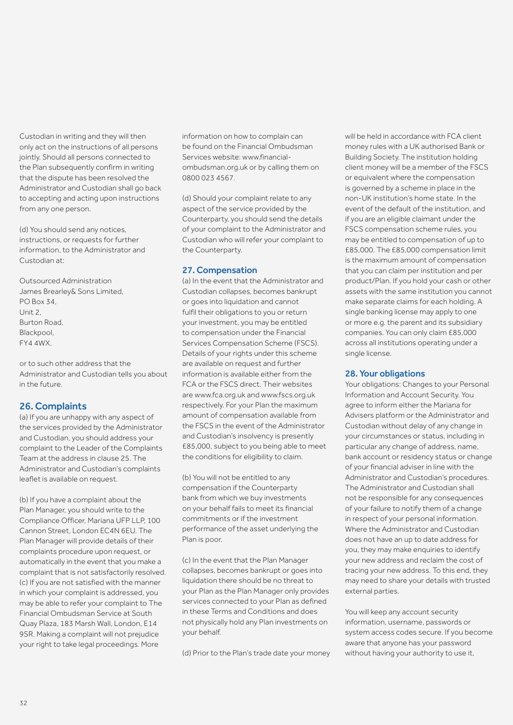Custodian in writing and they will then only act on the instructions of all persons jointly. Should all persons connected to the Plan subsequently confirm in writing that the dispute has been resolved the Administrator and Custodian shall go back to accepting and acting upon instructions from any one person.

(d) You should send any notices, instructions, or requests for further information, to the Administrator and Custodian at:

Outsourced Administration James Brearley& Sons Limited, PO Box 34,  $Unit 2$ Burton Road, Blackpool, FY4 4WX.

or to such other address that the Administrator and Custodian tells you about in the future.

## 26. Complaints

(a) If you are unhappy with any aspect of the services provided by the Administrator and Custodian, you should address your complaint to the Leader of the Complaints Team at the address in clause 25. The Administrator and Custodian's complaints leaflet is available on request.

(b) If you have a complaint about the Plan Manager, you should write to the Compliance Officer, Mariana UFP LLP, 100 Cannon Street, London EC4N 6EU. The Plan Manager will provide details of their complaints procedure upon request, or automatically in the event that you make a complaint that is not satisfactorily resolved. (c) If you are not satisfied with the manner in which your complaint is addressed, you may be able to refer your complaint to The Financial Ombudsman Service at South Quay Plaza, 183 Marsh Wall, London, E14 9SR. Making a complaint will not prejudice your right to take legal proceedings. More

information on how to complain can be found on the Financial Ombudsman Services website: www.financialombudsman.org.uk or by calling them on 0800 023 4567.

(d) Should your complaint relate to any aspect of the service provided by the Counterparty, you should send the details of your complaint to the Administrator and Custodian who will refer your complaint to the Counterparty.

## 27. Compensation

(a) In the event that the Administrator and Custodian collapses, becomes bankrupt or goes into liquidation and cannot fulfil their obligations to you or return your investment, you may be entitled to compensation under the Financial Services Compensation Scheme (FSCS). Details of your rights under this scheme are available on request and further information is available either from the FCA or the FSCS direct. Their websites are www.fca.org.uk and www.fscs.org.uk respectively. For your Plan the maximum amount of compensation available from the FSCS in the event of the Administrator and Custodian's insolvency is presently £85,000, subject to you being able to meet the conditions for eligibility to claim.

(b) You will not be entitled to any compensation if the Counterparty bank from which we buy investments on your behalf fails to meet its financial commitments or if the investment performance of the asset underlying the Plan is poor.

(c) In the event that the Plan Manager collapses, becomes bankrupt or goes into liquidation there should be no threat to your Plan as the Plan Manager only provides services connected to your Plan as defined in these Terms and Conditions and does not physically hold any Plan investments on your behalf.

(d) Prior to the Plan's trade date your money

will be held in accordance with FCA client money rules with a UK authorised Bank or Building Society. The institution holding client money will be a member of the FSCS or equivalent where the compensation is governed by a scheme in place in the non-UK institution's home state. In the event of the default of the institution, and if you are an eligible claimant under the FSCS compensation scheme rules, you may be entitled to compensation of up to £85,000. The £85,000 compensation limit is the maximum amount of compensation that you can claim per institution and per product/Plan. If you hold your cash or other assets with the same institution you cannot make separate claims for each holding. A single banking license may apply to one or more e.g. the parent and its subsidiary companies. You can only claim £85,000 across all institutions operating under a single license.

## 28. Your obligations

Your obligations: Changes to your Personal Information and Account Security. You agree to inform either the Mariana for Advisers platform or the Administrator and Custodian without delay of any change in your circumstances or status, including in particular any change of address, name, bank account or residency status or change of your financial adviser in line with the Administrator and Custodian's procedures. The Administrator and Custodian shall not be responsible for any consequences of your failure to notify them of a change in respect of your personal information. Where the Administrator and Custodian does not have an up to date address for you, they may make enquiries to identify your new address and reclaim the cost of tracing your new address. To this end, they may need to share your details with trusted external parties.

You will keep any account security information, username, passwords or system access codes secure. If you become aware that anyone has your password without having your authority to use it,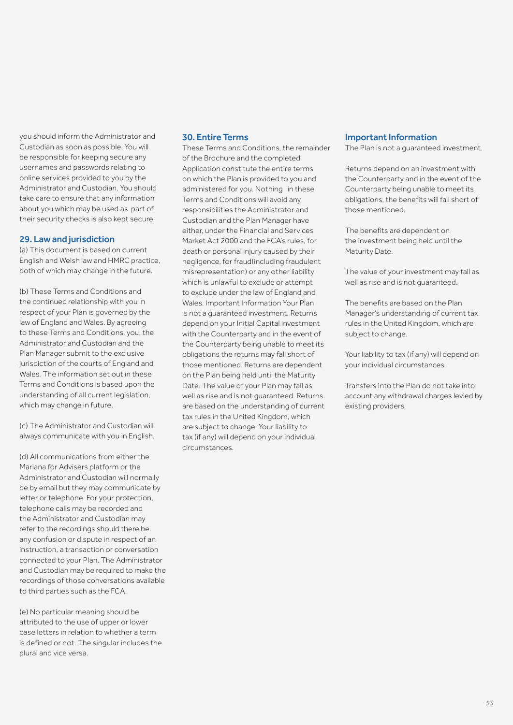you should inform the Administrator and Custodian as soon as possible. You will be responsible for keeping secure any usernames and passwords relating to online services provided to you by the Administrator and Custodian. You should take care to ensure that any information about you which may be used as part of their security checks is also kept secure.

#### 29. Law and jurisdiction

(a) This document is based on current English and Welsh law and HMRC practice, both of which may change in the future.

(b) These Terms and Conditions and the continued relationship with you in respect of your Plan is governed by the law of England and Wales. By agreeing to these Terms and Conditions, you, the Administrator and Custodian and the Plan Manager submit to the exclusive jurisdiction of the courts of England and Wales. The information set out in these Terms and Conditions is based upon the understanding of all current legislation, which may change in future.

(c) The Administrator and Custodian will always communicate with you in English.

(d) All communications from either the Mariana for Advisers platform or the Administrator and Custodian will normally be by email but they may communicate by letter or telephone. For your protection, telephone calls may be recorded and the Administrator and Custodian may refer to the recordings should there be any confusion or dispute in respect of an instruction, a transaction or conversation connected to your Plan. The Administrator and Custodian may be required to make the recordings of those conversations available to third parties such as the FCA.

(e) No particular meaning should be attributed to the use of upper or lower case letters in relation to whether a term is defined or not. The singular includes the plural and vice versa.

#### 30. Entire Terms

These Terms and Conditions, the remainder of the Brochure and the completed Application constitute the entire terms on which the Plan is provided to you and administered for you. Nothing in these Terms and Conditions will avoid any responsibilities the Administrator and Custodian and the Plan Manager have either, under the Financial and Services Market Act 2000 and the FCA's rules, for death or personal injury caused by their negligence, for fraud(including fraudulent misrepresentation) or any other liability which is unlawful to exclude or attempt to exclude under the law of England and Wales. Important Information Your Plan is not a guaranteed investment. Returns depend on your Initial Capital investment with the Counterparty and in the event of the Counterparty being unable to meet its obligations the returns may fall short of those mentioned. Returns are dependent on the Plan being held until the Maturity Date. The value of your Plan may fall as well as rise and is not guaranteed. Returns are based on the understanding of current tax rules in the United Kingdom, which are subject to change. Your liability to tax (if any) will depend on your individual circumstances.

#### Important Information

The Plan is not a guaranteed investment.

Returns depend on an investment with the Counterparty and in the event of the Counterparty being unable to meet its obligations, the benefits will fall short of those mentioned.

The benefits are dependent on the investment being held until the Maturity Date.

The value of your investment may fall as well as rise and is not guaranteed.

The benefits are based on the Plan Manager's understanding of current tax rules in the United Kingdom, which are subject to change.

Your liability to tax (if any) will depend on your individual circumstances.

Transfers into the Plan do not take into account any withdrawal charges levied by existing providers.